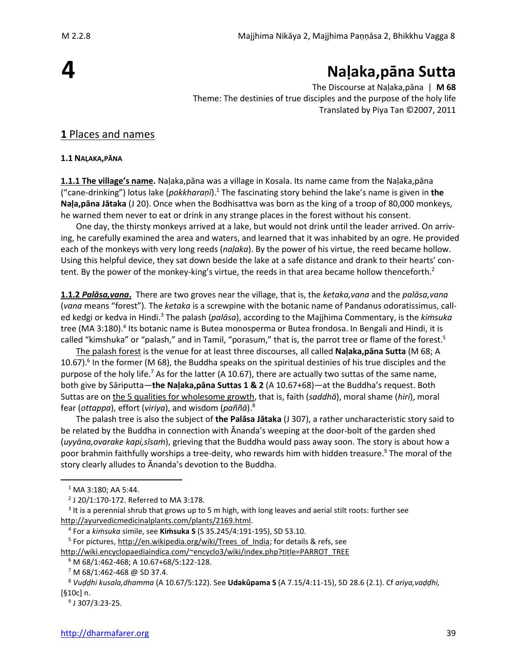# **4**

# **Naḷaka,pāna Sutta**

The Discourse at Naḷaka,pāna | **M 68** Theme: The destinies of true disciples and the purpose of the holy life Translated by Piya Tan ©2007, 2011

## **1** Places and names

#### **1.1 NAḶAKA,PĀNA**

**1.1.1 The village's name.** Naḷaka,pāna was a village in Kosala. Its name came from the Naḷaka,pāna ("cane-drinking") lotus lake (*pokkharaṇī*). <sup>1</sup> The fascinating story behind the lake's name is given in **the Naḷa,pāna Jātaka** (J 20). Once when the Bodhisattva was born as the king of a troop of 80,000 monkeys, he warned them never to eat or drink in any strange places in the forest without his consent.

One day, the thirsty monkeys arrived at a lake, but would not drink until the leader arrived. On arriving, he carefully examined the area and waters, and learned that it was inhabited by an ogre. He provided each of the monkeys with very long reeds (*naḷaka*). By the power of his virtue, the reed became hollow. Using this helpful device, they sat down beside the lake at a safe distance and drank to their hearts' content. By the power of the monkey-king's virtue, the reeds in that area became hollow thenceforth.<sup>2</sup>

**1.1.2** *Palāsa,vana***.** There are two groves near the village, that is, the *ketaka,vana* and the *palāsa,vana* (*vana* means "forest")*.* The *ketaka* is a screwpine with the botanic name of Pandanus odoratissimus, called kedgi or kedva in Hindi.<sup>3</sup> The palash (*palāsa*), according to the Majjhima Commentary, is the *kiṁsuka*  tree (MA 3:180).<sup>4</sup> Its botanic name is Butea monosperma or Butea frondosa. In Bengali and Hindi, it is called "kimshuka" or "palash," and in Tamil, "porasum," that is, the parrot tree or flame of the forest.<sup>5</sup>

The palash forest is the venue for at least three discourses, all called **Naḷaka,pāna Sutta** (M 68; A 10.67).<sup>6</sup> In the former (M 68), the Buddha speaks on the spiritual destinies of his true disciples and the purpose of the holy life.<sup>7</sup> As for the latter (A 10.67), there are actually two suttas of the same name, both give by Sāriputta—**the Naḷaka,pāna Suttas 1 & 2** (A 10.67+68)—at the Buddha's request. Both Suttas are on the 5 qualities for wholesome growth, that is, faith (*saddhā*), moral shame (*hiri*), moral fear (*ottappa*), effort (*viriya*), and wisdom (*paññā*).<sup>8</sup>

The palash tree is also the subject of **the Palāsa Jātaka** (J 307), a rather uncharacteristic story said to be related by the Buddha in connection with Ānanda's weeping at the door-bolt of the garden shed (*uyyāna,ovarake kapi,sīsaṁ*), grieving that the Buddha would pass away soon. The story is about how a poor brahmin faithfully worships a tree-deity, who rewards him with hidden treasure. <sup>9</sup> The moral of the story clearly alludes to Ānanda's devotion to the Buddha.

<sup>1</sup> MA 3:180; AA 5:44.

<sup>2</sup> J 20/1:170-172. Referred to MA 3:178.

<sup>&</sup>lt;sup>3</sup> It is a perennial shrub that grows up to 5 m high, with long leaves and aerial stilt roots: further see [http://ayurvedicmedicinalplants.com/plants/2169.html.](http://ayurvedicmedicinalplants.com/plants/2169.html)

<sup>4</sup> For a *kiṁsuka* simile, see **Kiṁsuka S** (S 35.245/4:191-195), SD 53.10.

<sup>&</sup>lt;sup>5</sup> For pictures[, http://en.wikipedia.org/wiki/Trees\\_of\\_India;](http://en.wikipedia.org/wiki/Trees_of_India) for details & refs, see

[http://wiki.encyclopaediaindica.com/~encyclo3/wiki/index.php?title=PARROT\\_TREE](http://wiki.encyclopaediaindica.com/~encyclo3/wiki/index.php?title=PARROT_TREE)

<sup>6</sup> M 68/1:462-468; A 10.67+68/5:122-128.

 $7$  M 68/1:462-468 @ SD 37.4.

<sup>8</sup> *Vuḍḍhi kusala,dhamma* (A 10.67/5:122). See **Udakûpama S** (A 7.15/4:11-15), SD 28.6 (2.1). Cf *ariya,vaḍḍhi,*  [§10c] n.

<sup>9</sup> J 307/3:23-25.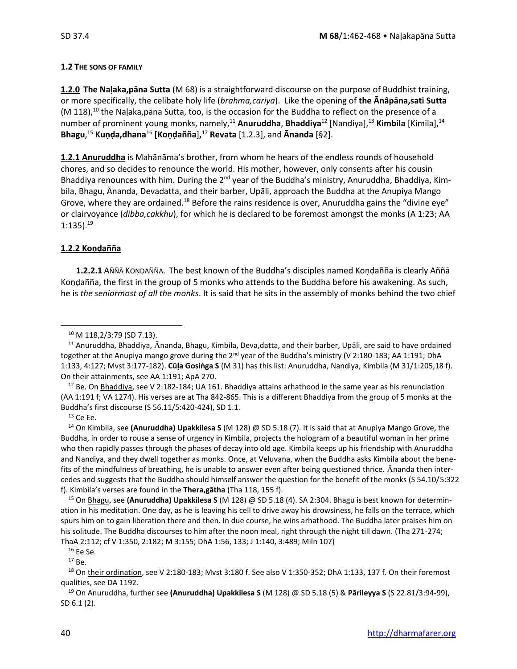#### **1.2 THE SONS OF FAMILY**

**1.2.0 The Naḷaka,pāna Sutta** (M 68) is a straightforward discourse on the purpose of Buddhist training, or more specifically, the celibate holy life (*brahma,cariya*). Like the opening of **the Ānâpāna,sati Sutta**   $(M 118)<sup>10</sup>$  the Naḷaka,pāna Sutta, too, is the occasion for the Buddha to reflect on the presence of a number of prominent young monks, namely,<sup>11</sup> **Anuruddha**, **Bhaddiya**<sup>12</sup> [Nandiya],<sup>13</sup> **Kimbila** [Kimila],<sup>14</sup> **Bhagu**, <sup>15</sup> **Kuṇḍa,dhana**<sup>16</sup> **[Koṇḍañña**]**,** <sup>17</sup> **Revata** [1.2.3], and **Ānanda** [§2].

**1.2.1 Anuruddha** is Mahānāma's brother, from whom he hears of the endless rounds of household chores, and so decides to renounce the world. His mother, however, only consents after his cousin Bhaddiya renounces with him. During the  $2<sup>nd</sup>$  year of the Buddha's ministry, Anuruddha, Bhaddiya, Kimbila, Bhagu, Ānanda, Devadatta, and their barber, Upāli, approach the Buddha at the Anupiya Mango Grove, where they are ordained.<sup>18</sup> Before the rains residence is over, Anuruddha gains the "divine eye" or clairvoyance (*dibba,cakkhu*), for which he is declared to be foremost amongst the monks (A 1:23; AA  $1:135$ ).<sup>19</sup>

#### **1.2.2 Koṇḍañña**

**1.2.2.1** AÑÑĀ KOṆḌAÑÑA. The best known of the Buddha's disciples named Koṇḍañña is clearly Aññā Koṇḍañña, the first in the group of 5 monks who attends to the Buddha before his awakening. As such, he is *the seniormost of all the monks*. It is said that he sits in the assembly of monks behind the two chief

 $12$  Be. On Bhaddiya, see V 2:182-184; UA 161. Bhaddiya attains arhathood in the same year as his renunciation (AA 1:191 f; VA 1274). His verses are at Tha 842-865. This is a different Bhaddiya from the group of 5 monks at the Buddha's first discourse (S 56.11/5:420-424), SD 1.1.

 $13$  Ce Ee.

<sup>14</sup> On Kimbila, see **(Anuruddha) Upakkilesa S** (M 128) @ SD 5.18 (7). It is said that at Anupiya Mango Grove, the Buddha, in order to rouse a sense of urgency in Kimbila, projects the hologram of a beautiful woman in her prime who then rapidly passes through the phases of decay into old age. Kimbila keeps up his friendship with Anuruddha and Nandiya, and they dwell together as monks. Once, at Veluvana, when the Buddha asks Kimbila about the benefits of the mindfulness of breathing, he is unable to answer even after being questioned thrice. Ananda then intercedes and suggests that the Buddha should himself answer the question for the benefit of the monks (S 54.10/5:322 f). Kimbila's verses are found in the **Thera,gātha** (Tha 118, 155 f).

<sup>15</sup> On Bhagu, see **(Anuruddha) Upakkilesa S** (M 128) @ SD 5.18 (4). SA 2:304. Bhagu is best known for determination in his meditation. One day, as he is leaving his cell to drive away his drowsiness, he falls on the terrace, which spurs him on to gain liberation there and then. In due course, he wins arhathood. The Buddha later praises him on his solitude. The Buddha discourses to him after the noon meal, right through the night till dawn. (Tha 271-274; ThaA 2:112; cf V 1:350, 2:182; M 3:155; DhA 1:56, 133; J 1:140, 3:489; Miln 107)

 $17$  Be.

<sup>18</sup> On their ordination, see V 2:180-183; Mvst 3:180 f. See also V 1:350-352; DhA 1:133, 137 f. On their foremost qualities, see DA 1192.

<sup>19</sup> On Anuruddha, further see **(Anuruddha) Upakkilesa S** (M 128) @ SD 5.18 (5) & **Pārileyya S** (S 22.81/3:94-99), SD 6.1 (2).

<sup>10</sup> M 118,2/3:79 (SD 7.13).

<sup>&</sup>lt;sup>11</sup> Anuruddha, Bhaddiya, Ānanda, Bhagu, Kimbila, Deva,datta, and their barber, Upāli, are said to have ordained together at the Anupiya mango grove during the 2<sup>nd</sup> year of the Buddha's ministry (V 2:180-183; AA 1:191; DhA 1:133, 4:127; Mvst 3:177-182). **Cūḷa Gosiṅga S** (M 31) has this list: Anuruddha, Nandiya, Kimbila (M 31/1:205,18 f). On their attainments, see AA 1:191; ApA 270.

 $16$  Ee Se.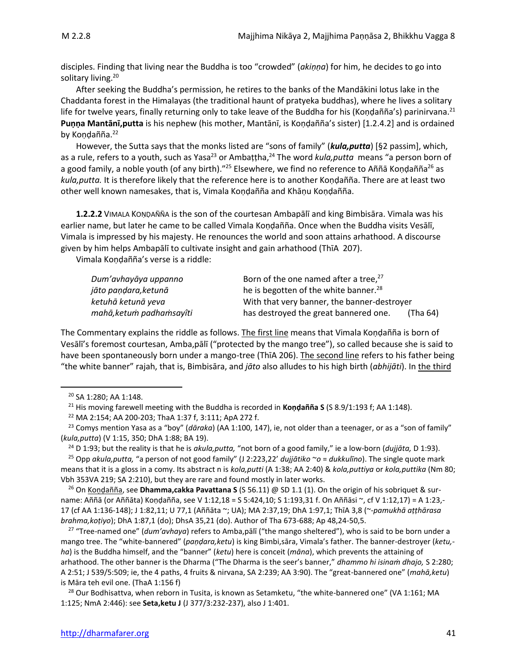disciples. Finding that living near the Buddha is too "crowded" (*akiṇṇa*) for him, he decides to go into solitary living. 20

After seeking the Buddha's permission, he retires to the banks of the Mandākini lotus lake in the Chaddanta forest in the Himalayas (the traditional haunt of pratyeka buddhas), where he lives a solitary life for twelve years, finally returning only to take leave of the Buddha for his (Koṇḍañña's) parinirvana.<sup>21</sup> **Puṇṇa Mantānī,putta** is his nephew (his mother, Mantānī, is Koṇḍañña's sister) [1.2.4.2] and is ordained by Koṇḍañña.<sup>22</sup>

However, the Sutta says that the monks listed are "sons of family" (*kula,putta*) [§2 passim], which, as a rule, refers to a youth, such as Yasa<sup>23</sup> or Ambaṭṭha,<sup>24</sup> The word *kula,putta* means "a person born of a good family, a noble youth (of any birth)."<sup>25</sup> Elsewhere, we find no reference to Aññā Kondañña<sup>26</sup> as *kula,putta.* It is therefore likely that the reference here is to another Koṇḍañña. There are at least two other well known namesakes, that is, Vimala Koṇḍañña and Khāṇu Koṇḍañña.

**1.2.2.2** VIMALA KOṆḌAÑÑA is the son of the courtesan Ambapālī and king Bimbisāra. Vimala was his earlier name, but later he came to be called Vimala Koṇḍañña. Once when the Buddha visits Vesālī, Vimala is impressed by his majesty. He renounces the world and soon attains arhathood. A discourse given by him helps Ambapālī to cultivate insight and gain arhathood (ThīA 207).

Vimala Koṇḍañña's verse is a riddle:

| Dum'avhayāya uppanno     | Born of the one named after a tree, <sup>27</sup> |
|--------------------------|---------------------------------------------------|
| jāto paņdara,ketunā      | he is begotten of the white banner. <sup>28</sup> |
| ketuhā ketunā yeva       | With that very banner, the banner-destroyer       |
| mahā, ketum padhamsayîti | has destroyed the great bannered one.<br>(Tha 64) |

The Commentary explains the riddle as follows. The first line means that Vimala Koṇḍañña is born of Vesālī's foremost courtesan, Amba,pālī ("protected by the mango tree"), so called because she is said to have been spontaneously born under a mango-tree (ThiA 206). The second line refers to his father being "the white banner" rajah, that is, Bimbisāra, and *jāto* also alludes to his high birth (*abhijāti*). In the third

<sup>24</sup> D 1:93; but the reality is that he is *akula,putta,* "not born of a good family," ie a low-born (*dujjāta,* D 1:93).

<sup>25</sup> Opp *akula,putta,* "a person of not good family" (J 2:223,22' *dujjātiko* ~*o* = *dukkulīno*). The single quote mark means that it is a gloss in a comy. Its abstract n is *kola,putti* (A 1:38; AA 2:40) & *kola,puttiya* or *kola,puttika* (Nm 80; Vbh 353VA 219; SA 2:210), but they are rare and found mostly in later works.

<sup>26</sup> On Koṇḍañña, see **Dhamma,cakka Pavattana S** (S 56.11) @ SD 1.1 (1). On the origin of his sobriquet & surname: Aññā (or Aññāta) Koṇḍañña, see V 1:12,18 = S 5:424,10; S 1:193,31 f. On Aññāsi ~, cf V 1:12,17) = A 1:23,- 17 (cf AA 1:136-148); J 1:82,11; U 77,1 (Aññāta ~; UA); MA 2:37,19; DhA 1:97,1; ThīA 3,8 (~-*pamukhā aṭṭhārasa brahma,koṭiyo*); DhA 1:87,1 (do); DhsA 35,21 (do). Author of Tha 673-688; Ap 48,24-50,5.

<sup>27</sup> "Tree-named one" (*dum'avhaya*) refers to Amba,pālī ("the mango sheltered"), who is said to be born under a mango tree. The "white-bannered" (*paṇḍara,ketu*) is king Bimbi,sāra, Vimala's father. The banner-destroyer (*ketu, ha*) is the Buddha himself, and the "banner" (*ketu*) here is conceit (*māna*), which prevents the attaining of arhathood. The other banner is the Dharma ("The Dharma is the seer's banner," *dhammo hi isinaṁ dhajo,* S 2:280; A 2:51; J 539/5:509; ie, the 4 paths, 4 fruits & nirvana, SA 2:239; AA 3:90). The "great-bannered one" (*mahā,ketu*) is Māra teh evil one. (ThaA 1:156 f)

<sup>28</sup> Our Bodhisattva, when reborn in Tusita, is known as Setamketu, "the white-bannered one" (VA 1:161; MA 1:125; NmA 2:446): see **Seta,ketu J** (J 377/3:232-237), also J 1:401.

<sup>20</sup> SA 1:280; AA 1:148.

<sup>21</sup> His moving farewell meeting with the Buddha is recorded in **Koṇḍañña S** (S 8.9/1:193 f; AA 1:148).

<sup>22</sup> MA 2:154; AA 200-203; ThaA 1:37 f, 3:111; ApA 272 f.

<sup>23</sup> Comys mention Yasa as a "boy" (*dāraka*) (AA 1:100, 147), ie, not older than a teenager, or as a "son of family" (*kula,putta*) (V 1:15, 350; DhA 1:88; BA 19).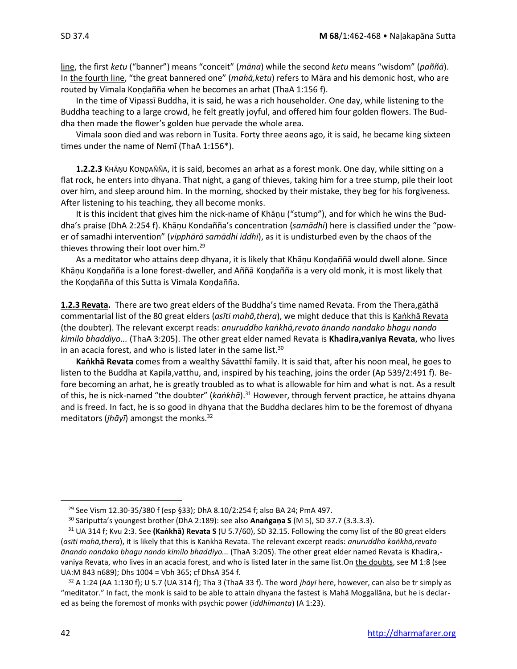line, the first *ketu* ("banner") means "conceit" (*māna*) while the second *ketu* means "wisdom" (*paññā*).

In the fourth line, "the great bannered one" (*mahā,ketu*) refers to Māra and his demonic host, who are routed by Vimala Koṇḍañña when he becomes an arhat (ThaA 1:156 f).

In the time of Vipassī Buddha, it is said, he was a rich householder. One day, while listening to the Buddha teaching to a large crowd, he felt greatly joyful, and offered him four golden flowers. The Buddha then made the flower's golden hue pervade the whole area.

Vimala soon died and was reborn in Tusita. Forty three aeons ago, it is said, he became king sixteen times under the name of Nemī (ThaA 1:156\*).

**1.2.2.3** KHĀŅU KOŅDAÑÑA, it is said, becomes an arhat as a forest monk. One day, while sitting on a flat rock, he enters into dhyana. That night, a gang of thieves, taking him for a tree stump, pile their loot over him, and sleep around him. In the morning, shocked by their mistake, they beg for his forgiveness. After listening to his teaching, they all become monks.

It is this incident that gives him the nick-name of Khāṇu ("stump"), and for which he wins the Buddha's praise (DhA 2:254 f). Khāṇu Kondañña's concentration (*samādhi*) here is classified under the "power of samadhi intervention" (*vipphārā samādhi iddhi*), as it is undisturbed even by the chaos of the thieves throwing their loot over him. 29

As a meditator who attains deep dhyana, it is likely that Khāṇu Koṇḍaññā would dwell alone. Since Khāṇu Koṇḍañña is a lone forest-dweller, and Aññā Koṇḍañña is a very old monk, it is most likely that the Koṇḍañña of this Sutta is Vimala Koṇḍañña.

**1.2.3 Revata.** There are two great elders of the Buddha's time named Revata. From the Thera,gāthā commentarial list of the 80 great elders (*asīti mahā, thera*), we might deduce that this is Kankhā Revata (the doubter). The relevant excerpt reads: *anuruddho kaṅkhā,revato ānando nandako bhagu nando kimilo bhaddiyo...* (ThaA 3:205). The other great elder named Revata is **Khadira,vaniya Revata**, who lives in an acacia forest, and who is listed later in the same list. $30$ 

**Kaṅkhā Revata** comes from a wealthy Sāvatthī family. It is said that, after his noon meal, he goes to listen to the Buddha at Kapila,vatthu, and, inspired by his teaching, joins the order (Ap 539/2:491 f). Before becoming an arhat, he is greatly troubled as to what is allowable for him and what is not. As a result of this, he is nick-named "the doubter" (ka*ṅkhā*).<sup>31</sup> However, through fervent practice, he attains dhyana and is freed. In fact, he is so good in dhyana that the Buddha declares him to be the foremost of dhyana meditators (*jhāyī*) amongst the monks.<sup>32</sup>

<sup>&</sup>lt;sup>29</sup> See Vism 12.30-35/380 f (esp §33); DhA 8.10/2:254 f; also BA 24; PmA 497.

<sup>30</sup> Sāriputta's youngest brother (DhA 2:189): see also **Anaṅgaṇa S** (M 5), SD 37.7 (3.3.3.3).

<sup>31</sup> UA 314 f; Kvu 2:3. See **(Kaṅkhā) Revata S** (U 5.7/60), SD 32.15. Following the comy list of the 80 great elders (*asīti mahā,thera*), it is likely that this is Kaṅkhā Revata. The relevant excerpt reads: *anuruddho kaṅkhā,revato ānando nandako bhagu nando kimilo bhaddiyo...* (ThaA 3:205). The other great elder named Revata is Khadira, vaniya Revata, who lives in an acacia forest, and who is listed later in the same list.On the doubts, see M 1:8 (see UA:M 843 n689); Dhs 1004 = Vbh 365; cf DhsA 354 f.

 $32$  A 1:24 (AA 1:130 f); U 5.7 (UA 314 f); Tha 3 (ThaA 33 f). The word *jhāyī* here, however, can also be tr simply as "meditator." In fact, the monk is said to be able to attain dhyana the fastest is Mahā Moggallāna, but he is declared as being the foremost of monks with psychic power (*iddhimanta*) (A 1:23).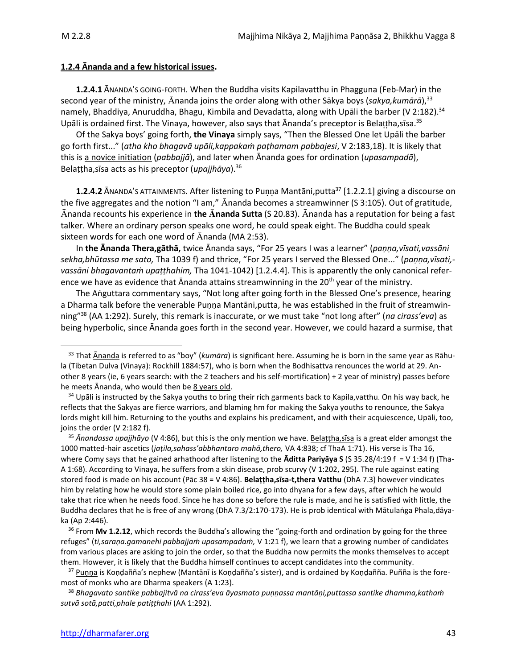#### **1.2.4 Ānanda and a few historical issues.**

**1.2.4.1** ĀNANDA'S GOING-FORTH. When the Buddha visits Kapilavatthu in Phagguna (Feb-Mar) in the second year of the ministry, Ānanda joins the order along with other <u>Sākya boys</u> (s*akya,kumārā*),<sup>33</sup> namely, Bhaddiya, Anuruddha, Bhagu, Kimbila and Devadatta, along with Upāli the barber (V 2:182).<sup>34</sup> Upāli is ordained first. The Vinaya, however, also says that Ānanda's preceptor is Belaṭṭha,sīsa.<sup>35</sup>

Of the Sakya boys' going forth, **the Vinaya** simply says, "Then the Blessed One let Upāli the barber go forth first..." (*atha kho bhagavā upāli,kappakaṁ paṭhamam pabbajesi*, V 2:183,18). It is likely that this is a novice initiation (*pabbajjā*), and later when Ānanda goes for ordination (*upasampadā*), Belaṭṭha,sīsa acts as his preceptor (*upajjhāya*).<sup>36</sup>

**1.2.4.2** ĀNANDA'S ATTAINMENTS. After listening to Punna Mantāni,putta<sup>37</sup> [1.2.2.1] giving a discourse on the five aggregates and the notion "I am,"  $\bar{A}$ nanda becomes a streamwinner (S 3:105). Out of gratitude, nanda recounts his experience in **the nanda Sutta** (S 20.83). nanda has a reputation for being a fast talker. Where an ordinary person speaks one word, he could speak eight. The Buddha could speak sixteen words for each one word of  $\bar{A}$ nanda (MA 2:53).

In **the Ānanda Thera,gāthā,** twice Ānanda says, "For 25 years I was a learner" (*paṇṇa,vīsati,vassāni sekha,bhūtassa me sato,* Tha 1039 f) and thrice, "For 25 years I served the Blessed One..." (*paṇṇa,vīsati, vassāni bhagavantaṁ upaṭṭhahim,* Tha 1041-1042) [1.2.4.4]. This is apparently the only canonical reference we have as evidence that  $\bar{A}$ nanda attains streamwinning in the 20<sup>th</sup> year of the ministry.

The Aṅguttara commentary says, "Not long after going forth in the Blessed One's presence, hearing a Dharma talk before the venerable Puṇṇa Mantāni,putta, he was established in the fruit of streamwinning" <sup>38</sup> (AA 1:292). Surely, this remark is inaccurate, or we must take "not long after" (*na cirass'eva*) as being hyperbolic, since Ānanda goes forth in the second year. However, we could hazard a surmise, that

<sup>&</sup>lt;sup>33</sup> That Ānanda is referred to as "boy" (kumāra) is significant here. Assuming he is born in the same year as Rāhula (Tibetan Dulva (Vinaya): Rockhill 1884:57), who is born when the Bodhisattva renounces the world at 29. Another 8 years (ie, 6 years search: with the 2 teachers and his self-mortification) + 2 year of ministry) passes before he meets Ānanda, who would then be 8 years old.

<sup>&</sup>lt;sup>34</sup> Upāli is instructed by the Sakya youths to bring their rich garments back to Kapila, vatthu. On his way back, he reflects that the Sakyas are fierce warriors, and blaming hm for making the Sakya youths to renounce, the Sakya lords might kill him. Returning to the youths and explains his predicament, and with their acquiescence, Upāli, too, joins the order (V 2:182 f).

<sup>35</sup> *Ānandassa upajjhāyo* (V 4:86), but this is the only mention we have. Belaṭṭha,sīsa is a great elder amongst the 1000 matted-hair ascetics (*jaṭila,sahass'abbhantaro mahā,thero,* VA 4:838; cf ThaA 1:71). His verse is Tha 16, where Comy says that he gained arhathood after listening to the **Āditta Pariyāya S** (S 35.28/4:19 f = V 1:34 f) (Tha-A 1:68). According to Vinaya, he suffers from a skin disease, prob scurvy (V 1:202, 295). The rule against eating stored food is made on his account (Pāc 38 = V 4:86). **Belaṭṭha,sīsa-t,thera Vatthu** (DhA 7.3) however vindicates him by relating how he would store some plain boiled rice, go into dhyana for a few days, after which he would take that rice when he needs food. Since he has done so before the rule is made, and he is satisfied with little, the Buddha declares that he is free of any wrong (DhA 7.3/2:170-173). He is prob identical with Mātulaṅga Phala,dāyaka (Ap 2:446).

<sup>36</sup> From **Mv 1.2.12**, which records the Buddha's allowing the "going-forth and ordination by going for the three refuges" (*ti,saraṇa.gamanehi pabbajjaṁ upasampadaṁ,* V 1:21 f), we learn that a growing number of candidates from various places are asking to join the order, so that the Buddha now permits the monks themselves to accept them. However, it is likely that the Buddha himself continues to accept candidates into the community.

<sup>&</sup>lt;sup>37</sup> Punna is Koṇḍañña's nephew (Mantānī is Koṇḍañña's sister), and is ordained by Koṇḍañña. Puñña is the foremost of monks who are Dharma speakers (A 1:23).

<sup>38</sup> *Bhagavato santike pabbajitvā na cirass'eva āyasmato puṇṇassa mantāṇi,puttassa santike dhamma,kathaṁ sutvā sotā,patti,phale patiṭṭhahi* (AA 1:292).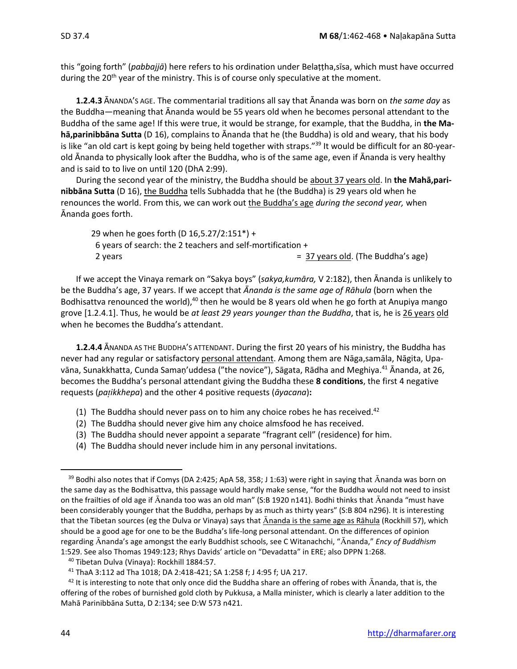this "going forth" (*pabbajjā*) here refers to his ordination under Belaṭṭha,sīsa, which must have occurred during the  $20<sup>th</sup>$  year of the ministry. This is of course only speculative at the moment.

**1.2.4.3** ĀNANDA'S AGE. The commentarial traditions all say that Ānanda was born on *the same day* as the Buddha—meaning that Ānanda would be 55 years old when he becomes personal attendant to the Buddha of the same age! If this were true, it would be strange, for example, that the Buddha, in **the Mahā,parinibbāna Sutta** (D 16), complains to Ānanda that he (the Buddha) is old and weary, that his body is like "an old cart is kept going by being held together with straps." <sup>39</sup> It would be difficult for an 80-yearold Ānanda to physically look after the Buddha, who is of the same age, even if Ānanda is very healthy and is said to to live on until 120 (DhA 2:99).

During the second year of the ministry, the Buddha should be about 37 years old. In **the Mahā,parinibbāna Sutta** (D 16), the Buddha tells Subhadda that he (the Buddha) is 29 years old when he renounces the world. From this, we can work out the Buddha's age *during the second year,* when Ānanda goes forth.

29 when he goes forth (D 16,5.27/2:151\*) + 6 years of search: the 2 teachers and self-mortification + 2 years  $=$  37 years old. (The Buddha's age)

If we accept the Vinaya remark on "Sakya boys" (*sakya,kumāra,* V 2:182), then Ānanda is unlikely to be the Buddha's age, 37 years. If we accept that *Ānanda is the same age of Rāhula* (born when the Bodhisattva renounced the world), $40$  then he would be 8 years old when he go forth at Anupiya mango grove [1.2.4.1]. Thus, he would be *at least 29 years younger than the Buddha*, that is, he is 26 years old when he becomes the Buddha's attendant.

**1.2.4.4** ĀNANDA AS THE BUDDHA'S ATTENDANT. During the first 20 years of his ministry, the Buddha has never had any regular or satisfactory personal attendant. Among them are Nāga,samāla, Nāgita, Upavāna, Sunakkhatta, Cunda Samaṇ'uddesa ("the novice"), Sāgata, Rādha and Meghiya.<sup>41</sup> Ānanda, at 26, becomes the Buddha's personal attendant giving the Buddha these **8 conditions**, the first 4 negative requests (*paikkhepa*) and the other 4 positive requests (*āyacana*)**:**

- (1) The Buddha should never pass on to him any choice robes he has received. $42$
- (2) The Buddha should never give him any choice almsfood he has received.
- (3) The Buddha should never appoint a separate "fragrant cell" (residence) for him.
- (4) The Buddha should never include him in any personal invitations.

<sup>&</sup>lt;sup>39</sup> Bodhi also notes that if Comys (DA 2:425; ApA 58, 358; J 1:63) were right in saying that  $\bar{A}$ nanda was born on the same day as the Bodhisattva, this passage would hardly make sense, "for the Buddha would not need to insist on the frailties of old age if Ananda too was an old man" (S:B 1920 n141). Bodhi thinks that Ananda "must have been considerably younger that the Buddha, perhaps by as much as thirty years" (S:B 804 n296). It is interesting that the Tibetan sources (eg the Dulva or Vinaya) says that  $\bar{A}$ nanda is the same age as Rāhula (Rockhill 57), which should be a good age for one to be the Buddha's life-long personal attendant. On the differences of opinion regarding Ananda's age amongst the early Buddhist schools, see C Witanachchi, "Ananda," *Ency of Buddhism* 1:529. See also Thomas 1949:123; Rhys Davids' article on "Devadatta" in ERE; also DPPN 1:268.

<sup>40</sup> Tibetan Dulva (Vinaya): Rockhill 1884:57.

<sup>41</sup> ThaA 3:112 ad Tha 1018; DA 2:418-421; SA 1:258 f; J 4:95 f; UA 217.

 $42$  It is interesting to note that only once did the Buddha share an offering of robes with  $\bar{A}$ nanda, that is, the offering of the robes of burnished gold cloth by Pukkusa, a Malla minister, which is clearly a later addition to the Mahā Parinibbāna Sutta, D 2:134; see D:W 573 n421.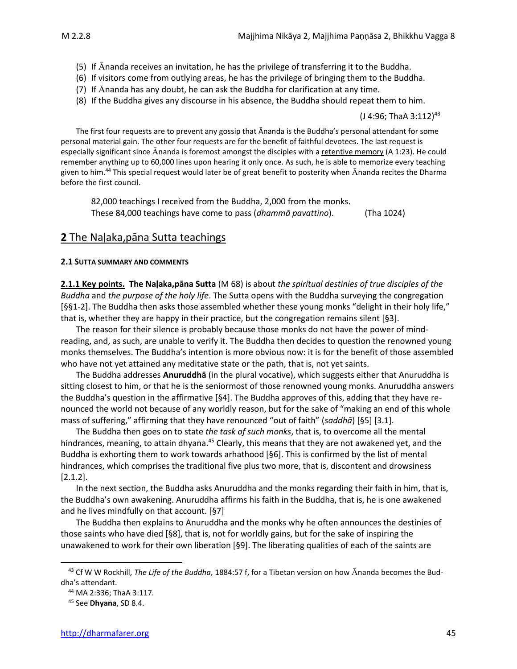- (5) If  $\bar{A}$ nanda receives an invitation, he has the privilege of transferring it to the Buddha.
- (6) If visitors come from outlying areas, he has the privilege of bringing them to the Buddha.
- (7) If  $\bar{A}$ nanda has any doubt, he can ask the Buddha for clarification at any time.
- (8) If the Buddha gives any discourse in his absence, the Buddha should repeat them to him.

(J 4:96; ThaA 3:112)<sup>43</sup>

The first four requests are to prevent any gossip that Ānanda is the Buddha's personal attendant for some personal material gain. The other four requests are for the benefit of faithful devotees. The last request is especially significant since Ananda is foremost amongst the disciples with a retentive memory (A 1:23). He could remember anything up to 60,000 lines upon hearing it only once. As such, he is able to memorize every teaching given to him.<sup>44</sup> This special request would later be of great benefit to posterity when  $\bar{A}$ nanda recites the Dharma before the first council.

82,000 teachings I received from the Buddha, 2,000 from the monks. These 84,000 teachings have come to pass (*dhammā pavattino*). (Tha 1024)

## **2** The Naḷaka,pāna Sutta teachings

#### **2.1 SUTTA SUMMARY AND COMMENTS**

**2.1.1 Key points. The Naḷaka,pāna Sutta** (M 68) is about *the spiritual destinies of true disciples of the Buddha* and *the purpose of the holy life*. The Sutta opens with the Buddha surveying the congregation [§§1-2]. The Buddha then asks those assembled whether these young monks "delight in their holy life," that is, whether they are happy in their practice, but the congregation remains silent [§3].

The reason for their silence is probably because those monks do not have the power of mindreading, and, as such, are unable to verify it. The Buddha then decides to question the renowned young monks themselves. The Buddha's intention is more obvious now: it is for the benefit of those assembled who have not yet attained any meditative state or the path, that is, not yet saints.

The Buddha addresses **Anuruddhā** (in the plural vocative), which suggests either that Anuruddha is sitting closest to him, or that he is the seniormost of those renowned young monks. Anuruddha answers the Buddha's question in the affirmative [§4]. The Buddha approves of this, adding that they have renounced the world not because of any worldly reason, but for the sake of "making an end of this whole mass of suffering," affirming that they have renounced "out of faith" (*saddhā*) [§5] [3.1].

The Buddha then goes on to state *the task of such monks*, that is, to overcome all the mental hindrances, meaning, to attain dhyana.<sup>45</sup> Clearly, this means that they are not awakened yet, and the Buddha is exhorting them to work towards arhathood [§6]. This is confirmed by the list of mental hindrances, which comprises the traditional five plus two more, that is, discontent and drowsiness [2.1.2].

In the next section, the Buddha asks Anuruddha and the monks regarding their faith in him, that is, the Buddha's own awakening. Anuruddha affirms his faith in the Buddha, that is, he is one awakened and he lives mindfully on that account. [§7]

The Buddha then explains to Anuruddha and the monks why he often announces the destinies of those saints who have died [§8], that is, not for worldly gains, but for the sake of inspiring the unawakened to work for their own liberation [§9]. The liberating qualities of each of the saints are

<sup>&</sup>lt;sup>43</sup> Cf W W Rockhill, *The Life of the Buddha*, 1884:57 f, for a Tibetan version on how Ananda becomes the Buddha's attendant.

<sup>44</sup> MA 2:336; ThaA 3:117.

<sup>45</sup> See **Dhyana**, SD 8.4.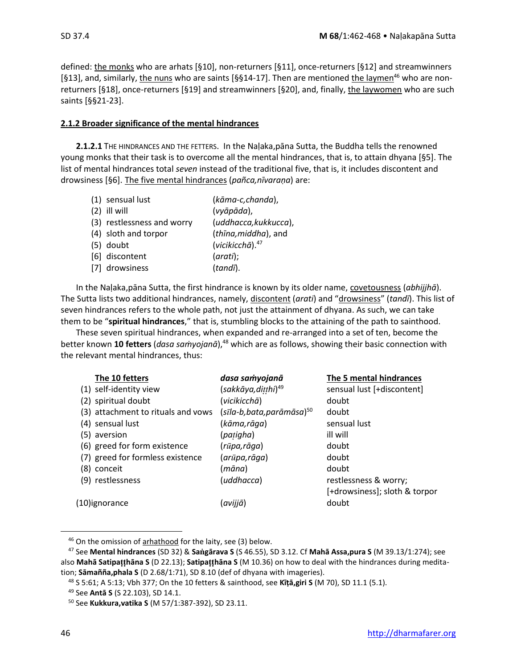defined: the monks who are arhats [§10], non-returners [§11], once-returners [§12] and streamwinners [§13], and, similarly, the nuns who are saints [§§14-17]. Then are mentioned the laymen<sup>46</sup> who are nonreturners [§18], once-returners [§19] and streamwinners [§20], and, finally, the laywomen who are such saints [§§21-23].

### **2.1.2 Broader significance of the mental hindrances**

**2.1.2.1** THE HINDRANCES AND THE FETTERS.In the Naḷaka,pāna Sutta, the Buddha tells the renowned young monks that their task is to overcome all the mental hindrances, that is, to attain dhyana [§5]. The list of mental hindrances total *seven* instead of the traditional five, that is, it includes discontent and drowsiness [§6]. The five mental hindrances (*pañca,nīvaraṇa*) are:

|     | (1) sensual lust           | (kāma-c,chanda),             |
|-----|----------------------------|------------------------------|
| (2) | ill will                   | (vyāpāda),                   |
|     | (3) restlessness and worry | (uddhacca, kukkucca),        |
|     | (4) sloth and torpor       | (thina, middha), and         |
|     | $(5)$ doubt                | (vicikicch $\bar{a}$ ). $47$ |
|     | [6] discontent             | (arati);                     |
|     | [7] drowsiness             | (tandī).                     |

In the Naḷaka,pāna Sutta, the first hindrance is known by its older name, covetousness (*abhijjhā*). The Sutta lists two additional hindrances, namely, discontent (*arati*) and "drowsiness" (*tandī*). This list of seven hindrances refers to the whole path, not just the attainment of dhyana. As such, we can take them to be "**spiritual hindrances**," that is, stumbling blocks to the attaining of the path to sainthood.

These seven spiritual hindrances, when expanded and re-arranged into a set of ten, become the better known 10 fetters (*dasa samyojanā*),<sup>48</sup> which are as follows, showing their basic connection with the relevant mental hindrances, thus:

| The 10 fetters                     | dasa samyojanā                       | The 5 mental hindrances       |
|------------------------------------|--------------------------------------|-------------------------------|
| (1) self-identity view             | (sakkāya,ditthi) <sup>49</sup>       | sensual lust [+discontent]    |
| (2) spiritual doubt                | (vicikicchā)                         | doubt                         |
| (3) attachment to rituals and vows | (sīla-b,bata,parāmāsa) <sup>50</sup> | doubt                         |
| (4) sensual lust                   | (kāma,rāga)                          | sensual lust                  |
| (5) aversion                       | (patigha)                            | ill will                      |
| (6) greed for form existence       | (rūpa,rāga)                          | doubt                         |
| (7) greed for formless existence   | (arūpa,rāga)                         | doubt                         |
| (8) conceit                        | (māna)                               | doubt                         |
| (9) restlessness                   | (uddhacca)                           | restlessness & worry;         |
|                                    |                                      | [+drowsiness]; sloth & torpor |
| (10)ignorance                      | (avijjā)                             | doubt                         |

<sup>46</sup> On the omission of arhathood for the laity, see (3) below.

<sup>47</sup> See **Mental hindrances** (SD 32) & **Sagārava S** (S 46.55), SD 3.12. Cf **Mahā Assa,pura S** (M 39.13/1:274); see also **Mahā Satipahāna S** (D 22.13); **Satipahāna S** (M 10.36) on how to deal with the hindrances during meditation; **Sāmañña,phala S** (D 2.68/1:71), SD 8.10 (def of dhyana with imageries).

<sup>48</sup> S 5:61; A 5:13; Vbh 377; On the 10 fetters & sainthood, see **Kīṭā,giri S** (M 70), SD 11.1 (5.1).

<sup>49</sup> See **Antā S** (S 22.103), SD 14.1.

<sup>50</sup> See **Kukkura,vatika S** (M 57/1:387-392), SD 23.11.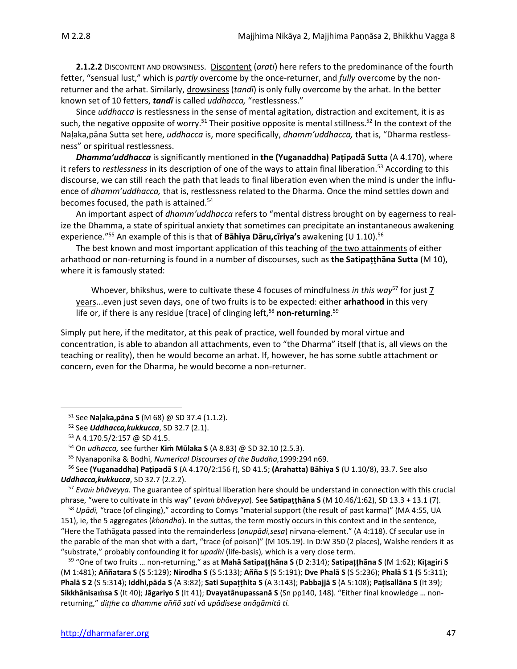**2.1.2.2** DISCONTENT AND DROWSINESS.Discontent (*arati*) here refers to the predominance of the fourth fetter, "sensual lust," which is *partly* overcome by the once-returner, and *fully* overcome by the nonreturner and the arhat. Similarly, drowsiness (*tandī*) is only fully overcome by the arhat. In the better known set of 10 fetters, *tandī* is called *uddhacca,* "restlessness."

Since *uddhacca* is restlessness in the sense of mental agitation, distraction and excitement, it is as such, the negative opposite of worry.<sup>51</sup> Their positive opposite is mental stillness.<sup>52</sup> In the context of the Naḷaka,pāna Sutta set here, *uddhacca* is, more specifically, *dhamm'uddhacca,* that is, "Dharma restlessness" or spiritual restlessness.

*Dhamma'uddhacca* is significantly mentioned in **the (Yuganaddha) Paṭipadā Sutta** (A 4.170), where it refers to *restlessness* in its description of one of the ways to attain final liberation.<sup>53</sup> According to this discourse, we can still reach the path that leads to final liberation even when the mind is under the influence of *dhamm'uddhacca,* that is, restlessness related to the Dharma. Once the mind settles down and becomes focused, the path is attained.<sup>54</sup>

An important aspect of *dhamm'uddhacca* refers to "mental distress brought on by eagerness to realize the Dhamma, a state of spiritual anxiety that sometimes can precipitate an instantaneous awakening experience."<sup>55</sup> An example of this is that of **Bāhiya Dāru,cīriya's** awakening (U 1.10).<sup>56</sup>

The best known and most important application of this teaching of the two attainments of either arhathood or non-returning is found in a number of discourses, such as **the Satipaṭṭhāna Sutta** (M 10), where it is famously stated:

Whoever, bhikshus, were to cultivate these 4 focuses of mindfulness *in this way*<sup>57</sup> for just 7 years...even just seven days, one of two fruits is to be expected: either **arhathood** in this very life or, if there is any residue [trace] of clinging left,<sup>58</sup> non-returning.<sup>59</sup>

Simply put here, if the meditator, at this peak of practice, well founded by moral virtue and concentration, is able to abandon all attachments, even to "the Dharma" itself (that is, all views on the teaching or reality), then he would become an arhat. If, however, he has some subtle attachment or concern, even for the Dharma, he would become a non-returner.

<sup>57</sup> *Eva bhāveyya.* The guarantee of spiritual liberation here should be understand in connection with this crucial phrase, "were to cultivate in this way" (*eva bhāveyya*). See **Satipaṭṭhāna S** (M 10.46/1:62), SD 13.3 + 13.1 (7).

<sup>58</sup> *Upādi,* "trace (of clinging)," according to Comys "material support (the result of past karma)" (MA 4:55, UA 151), ie, the 5 aggregates (*khandha*). In the suttas, the term mostly occurs in this context and in the sentence, "Here the Tathāgata passed into the remainderless (*anupādi,sesa*) nirvana-element." (A 4:118). Cf secular use in the parable of the man shot with a dart, "trace (of poison)" (M 105.19). In D:W 350 (2 places), Walshe renders it as "substrate," probably confounding it for *upadhi* (life-basis)*,* which is a very close term.

<sup>59</sup> "One of two fruits … non-returning," as at **Mahā Satipahāna S** (D 2:314); **Satipahāna S** (M 1:62); **Kiagiri S** (M 1:481); **Aññatara S** (S 5:129); **Nirodha S** (S 5:133); **Añña S** (S 5:191); **Dve Phalā S** (S 5:236); **Phalā S 1 (**S 5:311); **Phalā S 2** (S 5:314); **Iddhi,pāda S** (A 3:82); **Sati Supahita S** (A 3:143); **Pabbajjā S** (A 5:108); **Paisallāna S** (It 39); **Sikkhânisasa S** (It 40); **Jāgariyo S** (It 41); **Dvayatânupassanā S** (Sn pp140, 148). "Either final knowledge … nonreturning," *dihe ca dhamme aññā sati vā upādisese anāgāmitâ ti.*

<sup>51</sup> See **Naḷaka,pāna S** (M 68) @ SD 37.4 (1.1.2).

<sup>52</sup> See *Uddhacca,kukkucca*, SD 32.7 (2.1).

<sup>53</sup> A 4.170.5/2:157 @ SD 41.5.

<sup>54</sup> On *udhacca,* see further **Kiṁ Mūlaka S** (A 8.83) @ SD 32.10 (2.5.3).

<sup>55</sup> Nyanaponika & Bodhi, *Numerical Discourses of the Buddha,*1999:294 n69.

<sup>56</sup> See **(Yuganaddha) Paṭipadā S** (A 4.170/2:156 f), SD 41.5; **(Arahatta) Bāhiya S** (U 1.10/8), 33.7. See also *Uddhacca,kukkucca*, SD 32.7 (2.2.2).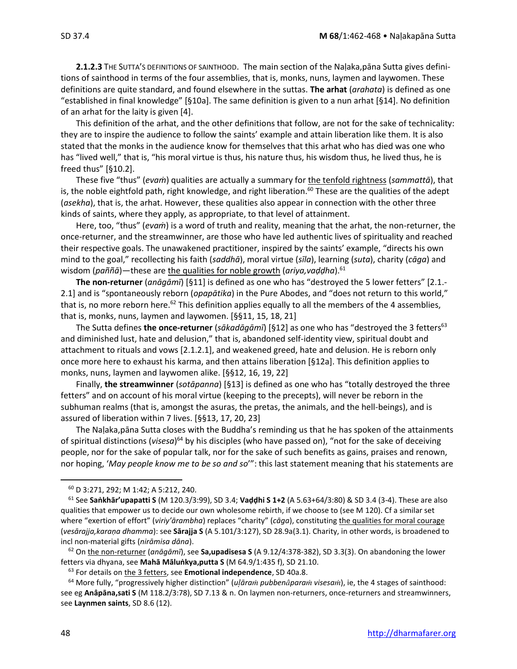**2.1.2.3** THE SUTTA'S DEFINITIONS OF SAINTHOOD.The main section of the Naḷaka,pāna Sutta gives definitions of sainthood in terms of the four assemblies, that is, monks, nuns, laymen and laywomen. These definitions are quite standard, and found elsewhere in the suttas. **The arhat** (*arahata*) is defined as one "established in final knowledge" [§10a]. The same definition is given to a nun arhat [§14]. No definition of an arhat for the laity is given [4].

This definition of the arhat, and the other definitions that follow, are not for the sake of technicality: they are to inspire the audience to follow the saints' example and attain liberation like them. It is also stated that the monks in the audience know for themselves that this arhat who has died was one who has "lived well," that is, "his moral virtue is thus, his nature thus, his wisdom thus, he lived thus, he is freed thus" [§10.2].

These five "thus" (*evaṁ*) qualities are actually a summary for the tenfold rightness (*sammattā*), that is, the noble eightfold path, right knowledge, and right liberation.<sup>60</sup> These are the qualities of the adept (*asekha*), that is, the arhat. However, these qualities also appear in connection with the other three kinds of saints, where they apply, as appropriate, to that level of attainment.

Here, too, "thus" (*evaṁ*) is a word of truth and reality, meaning that the arhat, the non-returner, the once-returner, and the streamwinner, are those who have led authentic lives of spirituality and reached their respective goals. The unawakened practitioner, inspired by the saints' example, "directs his own mind to the goal," recollecting his faith (*saddhā*), moral virtue (*sīla*), learning (*suta*), charity (*cāga*) and wisdom (*paññā*)—these are the qualities for noble growth (*ariya,vaḍḍha*).<sup>61</sup>

**The non-returner** (*anāgāmī*) [§11] is defined as one who has "destroyed the 5 lower fetters" [2.1.- 2.1] and is "spontaneously reborn (*opapātika*) in the Pure Abodes, and "does not return to this world," that is, no more reborn here.<sup>62</sup> This definition applies equally to all the members of the 4 assemblies, that is, monks, nuns, laymen and laywomen. [§§11, 15, 18, 21]

The Sutta defines **the once-returner** (*sākadāgāmī*) [§12] as one who has "destroyed the 3 fetters<sup>63</sup> and diminished lust, hate and delusion," that is, abandoned self-identity view, spiritual doubt and attachment to rituals and vows [2.1.2.1], and weakened greed, hate and delusion. He is reborn only once more here to exhaust his karma, and then attains liberation [§12a]. This definition applies to monks, nuns, laymen and laywomen alike. [§§12, 16, 19, 22]

Finally, **the streamwinner** (*sotāpanna*) [§13] is defined as one who has "totally destroyed the three fetters" and on account of his moral virtue (keeping to the precepts), will never be reborn in the subhuman realms (that is, amongst the asuras, the pretas, the animals, and the hell-beings), and is assured of liberation within 7 lives. [§§13, 17, 20, 23]

The Naḷaka,pāna Sutta closes with the Buddha's reminding us that he has spoken of the attainments of spiritual distinctions (visesa)<sup>64</sup> by his disciples (who have passed on), "not for the sake of deceiving people, nor for the sake of popular talk, nor for the sake of such benefits as gains, praises and renown, nor hoping, '*May people know me to be so and so*'": this last statement meaning that his statements are

<sup>62</sup> On the non-returner (*anāgāmī*), see **Sa,upadisesa S** (A 9.12/4:378-382), SD 3.3(3). On abandoning the lower fetters via dhyana, see **Mahā Māluṅkya,putta S** (M 64.9/1:435 f), SD 21.10.

<sup>60</sup> D 3:271, 292; M 1:42; A 5:212, 240.

<sup>61</sup> See **Saṅkhār'upapatti S** (M 120.3/3:99), SD 3.4; **Vaḍḍhi S 1+2** (A 5.63+64/3:80) & SD 3.4 (3-4). These are also qualities that empower us to decide our own wholesome rebirth, if we choose to (see M 120). Cf a similar set where "exertion of effort" (*viriy'ārambha*) replaces "charity" (*cāga*), constituting the qualities for moral courage (*vesārajja,karaṇa dhamma*): see **Sārajja S** (A 5.101/3:127), SD 28.9a(3.1). Charity, in other words, is broadened to incl non-material gifts (*nirāmisa dāna*).

<sup>63</sup> For details on the 3 fetters, see **Emotional independence**, SD 40a.8.

<sup>64</sup> More fully, "progressively higher distinction" (*uāra pubbenpara visesa*), ie, the 4 stages of sainthood: see eg **Anâpāna,sati S** (M 118.2/3:78), SD 7.13 & n. On laymen non-returners, once-returners and streamwinners, see **Laynmen saints**, SD 8.6 (12).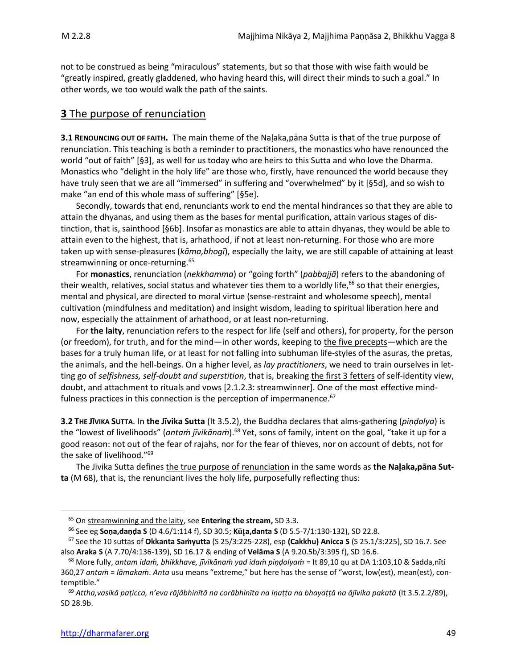not to be construed as being "miraculous" statements, but so that those with wise faith would be "greatly inspired, greatly gladdened, who having heard this, will direct their minds to such a goal." In other words, we too would walk the path of the saints.

## **3** The purpose of renunciation

**3.1 RENOUNCING OUT OF FAITH.** The main theme of the Naḷaka,pāna Sutta is that of the true purpose of renunciation. This teaching is both a reminder to practitioners, the monastics who have renounced the world "out of faith" [§3], as well for us today who are heirs to this Sutta and who love the Dharma. Monastics who "delight in the holy life" are those who, firstly, have renounced the world because they have truly seen that we are all "immersed" in suffering and "overwhelmed" by it [§5d], and so wish to make "an end of this whole mass of suffering" [§5e].

Secondly, towards that end, renunciants work to end the mental hindrances so that they are able to attain the dhyanas, and using them as the bases for mental purification, attain various stages of distinction, that is, sainthood [§6b]. Insofar as monastics are able to attain dhyanas, they would be able to attain even to the highest, that is, arhathood, if not at least non-returning. For those who are more taken up with sense-pleasures (*kāma,bhogī*), especially the laity, we are still capable of attaining at least streamwinning or once-returning.<sup>65</sup>

For **monastics**, renunciation (*nekkhamma*) or "going forth" (*pabbajjā*) refers to the abandoning of their wealth, relatives, social status and whatever ties them to a worldly life,<sup>66</sup> so that their energies, mental and physical, are directed to moral virtue (sense-restraint and wholesome speech), mental cultivation (mindfulness and meditation) and insight wisdom, leading to spiritual liberation here and now, especially the attainment of arhathood, or at least non-returning.

For **the laity**, renunciation refers to the respect for life (self and others), for property, for the person (or freedom), for truth, and for the mind—in other words, keeping to the five precepts—which are the bases for a truly human life, or at least for not falling into subhuman life-styles of the asuras, the pretas, the animals, and the hell-beings. On a higher level, as *lay practitioners*, we need to train ourselves in letting go of *selfishness, self-doubt and superstition*, that is, breaking the first 3 fetters of self-identity view, doubt, and attachment to rituals and vows [2.1.2.3: streamwinner]. One of the most effective mindfulness practices in this connection is the perception of impermanence.<sup>67</sup>

**3.2 THE JĪVIKA SUTTA**. In **the Jīvika Sutta** (It 3.5.2), the Buddha declares that alms-gathering (*piṇḍolya*) is the "lowest of livelihoods" (*antaṁ jīvikānaṁ*). <sup>68</sup> Yet, sons of family, intent on the goal, "take it up for a good reason: not out of the fear of rajahs, nor for the fear of thieves, nor on account of debts, not for the sake of livelihood."<sup>69</sup>

The Jīvika Sutta defines the true purpose of renunciation in the same words as **the Naḷaka,pāna Sutta** (M 68), that is, the renunciant lives the holy life, purposefully reflecting thus:

<sup>65</sup> On streamwinning and the laity, see **Entering the stream,** SD 3.3.

<sup>66</sup> See eg **Soṇa,daṇḍa S** (D 4.6/1:114 f), SD 30.5; **Ka,danta S** (D 5.5-7/1:130-132), SD 22.8.

<sup>67</sup> See the 10 suttas of **Okkanta Saṁyutta** (S 25/3:225-228), esp **(Cakkhu) Anicca S** (S 25.1/3:225), SD 16.7. See also **Araka S** (A 7.70/4:136-139), SD 16.17 & ending of **Velāma S** (A 9.20.5b/3:395 f), SD 16.6.

<sup>68</sup> More fully, *antam idaṁ, bhikkhave, jīvikānaṁ yad idaṁ piṇḍolyaṁ* = It 89,10 qu at DA 1:103,10 & Sadda,nīti 360,27 *antaṁ* = *lāmakaṁ*. *Anta* usu means "extreme," but here has the sense of "worst, low(est), mean(est), contemptible."

<sup>69</sup> *Attha,vasikā paṭicca, n'eva rājâbhinītā na corābhinīta na iṇaṭṭa na bhayaṭṭā na ājīvika pakatā* (It 3.5.2.2/89), SD 28.9b.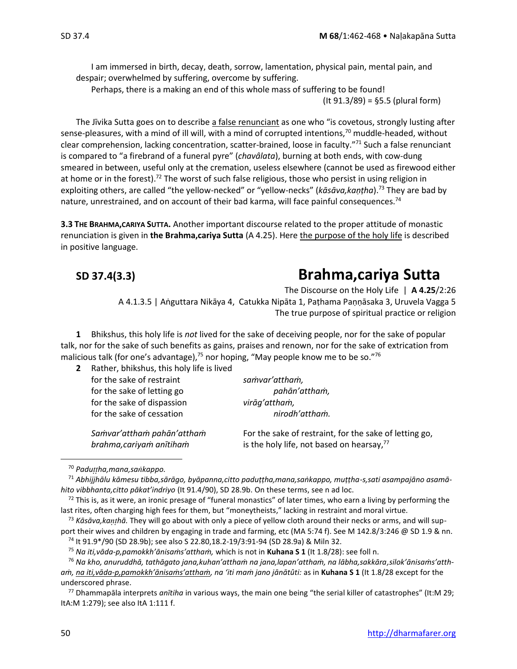I am immersed in birth, decay, death, sorrow, lamentation, physical pain, mental pain, and despair; overwhelmed by suffering, overcome by suffering.

Perhaps, there is a making an end of this whole mass of suffering to be found! (It 91.3/89) = §5.5 (plural form)

The Jīvika Sutta goes on to describe a false renunciant as one who "is covetous, strongly lusting after sense-pleasures, with a mind of ill will, with a mind of corrupted intentions,<sup>70</sup> muddle-headed, without clear comprehension, lacking concentration, scatter-brained, loose in faculty."<sup>71</sup> Such a false renunciant is compared to "a firebrand of a funeral pyre" (*chavâlata*), burning at both ends, with cow-dung smeared in between, useful only at the cremation, useless elsewhere (cannot be used as firewood either at home or in the forest).<sup>72</sup> The worst of such false religious, those who persist in using religion in exploiting others, are called "the yellow-necked" or "yellow-necks" (*kāsāva,kaṇṭha*).<sup>73</sup> They are bad by nature, unrestrained, and on account of their bad karma, will face painful consequences.<sup>74</sup>

**3.3 THE BRAHMA,CARIYA SUTTA.** Another important discourse related to the proper attitude of monastic renunciation is given in **the Brahma,cariya Sutta** (A 4.25). Here the purpose of the holy life is described in positive language.

# **SD 37.4(3.3) Brahma,cariya Sutta**

The Discourse on the Holy Life | **A 4.25**/2:26 A 4.1.3.5 | Aṅguttara Nikāya 4, Catukka Nipāta 1, Paṭhama Paṇṇāsaka 3, Uruvela Vagga 5 The true purpose of spiritual practice or religion

**1** Bhikshus, this holy life is *not* lived for the sake of deceiving people, nor for the sake of popular talk, nor for the sake of such benefits as gains, praises and renown, nor for the sake of extrication from malicious talk (for one's advantage), $75$  nor hoping, "May people know me to be so." $76$ 

**2** Rather, bhikshus, this holy life is lived

for the sake of restraint *samvar'attham*, for the sake of letting go *pahān'attham*, for the sake of dispassion *virāg'atthaṁ,* for the sake of cessation *nirodh'attham.* 

*Saṁvar'atthaṁ pahān'atthaṁ* For the sake of restraint, for the sake of letting go, *brahma,cariyaṁ anītihaṁ* is the holy life, not based on hearsay, 77

<sup>70</sup> *Paduha,mana,sakappo.*

<sup>73</sup> *Kāsāva,kahā.* They will go about with only a piece of yellow cloth around their necks or arms, and will sup-

<sup>71</sup> *Abhijjhālu kāmesu tibba,sārāgo, byāpanna,citto paduṭṭha,mana,saṅkappo, muṭṭha-s,sati asampajāno asamāhito vibbhanta,citto pākat'indriyo* (It 91.4/90), SD 28.9b. On these terms, see n ad loc.

 $72$  This is, as it were, an ironic presage of "funeral monastics" of later times, who earn a living by performing the last rites, often charging high fees for them, but "moneytheists," lacking in restraint and moral virtue.

port their wives and children by engaging in trade and farming, etc (MA 5:74 f). See M 142.8/3:246 @ SD 1.9 & nn. <sup>74</sup> It 91.9\*/90 (SD 28.9b); see also S 22.80,18.2-19/3:91-94 (SD 28.9a) & Miln 32.

<sup>75</sup> *Na iti,vāda-p,pamokkh'ānisaṁs'atthaṁ,* which is not in **Kuhana S 1** (It 1.8/28): see foll n.

<sup>76</sup> *Na kho, anuruddhā, tathāgato jana,kuhan'atthaṁ na jana,lapan'atthaṁ, na lābha,sakkāra,silok'ānisaṁs'atthaṁ, na iti,vāda-p,pamokkh'ānisaṁs'atthaṁ, na 'iti maṁ jano jānātûti:* as in **Kuhana S 1** (It 1.8/28 except for the underscored phrase.

<sup>77</sup> Dhammapāla interprets *anītiha* in various ways, the main one being "the serial killer of catastrophes" (It:M 29; ItA:M 1:279); see also ItA 1:111 f.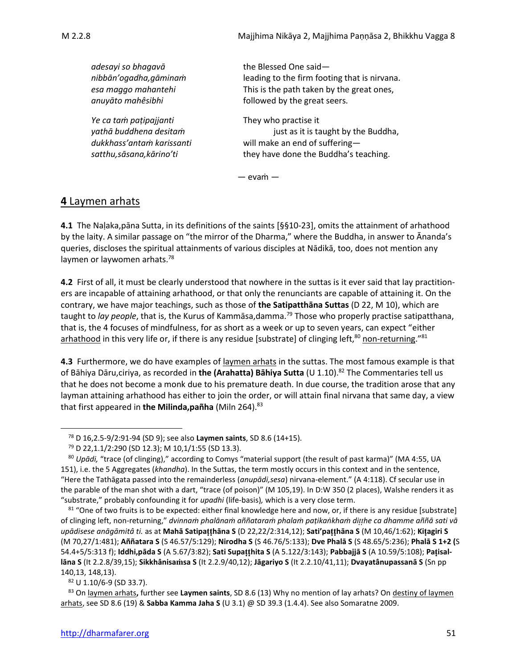*adesayi so bhagavā* the Blessed One said *nibbān'ogadha,gāminaṁ* leading to the firm footing that is nirvana. *esa maggo mahantehi* This is the path taken by the great ones, *anuyāto mahêsibhi* followed by the great seers. *Ye ca taṁ paṭipajjanti* They who practise it *yathā buddhena desitaṁ* just as it is taught by the Buddha, *dukkhass'antaṁ karissanti* will make an end of suffering *satthu,sāsana,kārino'ti* they have done the Buddha's teaching.

— evaṁ —

## **4** Laymen arhats

**4.1** The Naḷaka,pāna Sutta, in its definitions of the saints [§§10-23], omits the attainment of arhathood by the laity. A similar passage on "the mirror of the Dharma," where the Buddha, in answer to Ānanda's queries, discloses the spiritual attainments of various disciples at Nādikā, too, does not mention any laymen or laywomen arhats.<sup>78</sup>

**4.2** First of all, it must be clearly understood that nowhere in the suttas is it ever said that lay practitioners are incapable of attaining arhathood, or that only the renunciants are capable of attaining it. On the contrary, we have major teachings, such as those of **the Satipatthāna Suttas** (D 22, M 10), which are taught to *lay people*, that is, the Kurus of Kammāsa,damma.<sup>79</sup> Those who properly practise satipatthana, that is, the 4 focuses of mindfulness, for as short as a week or up to seven years, can expect "either arhathood in this very life or, if there is any residue [substrate] of clinging left,<sup>80</sup> non-returning."<sup>81</sup>

**4.3** Furthermore, we do have examples of laymen arhats in the suttas. The most famous example is that of Bāhiya Dāru,ciriya, as recorded in **the (Arahatta) Bāhiya Sutta** (U 1.10). <sup>82</sup> The Commentaries tell us that he does not become a monk due to his premature death. In due course, the tradition arose that any layman attaining arhathood has either to join the order, or will attain final nirvana that same day, a view that first appeared in **the Milinda, pañha** (Miln 264).<sup>83</sup>

<sup>82</sup> U 1.10/6-9 (SD 33.7).

<sup>83</sup> On laymen arhats**,** further see **Laymen saints**, SD 8.6 (13) Why no mention of lay arhats? On destiny of laymen arhats, see SD 8.6 (19) & **Sabba Kamma Jaha S** (U 3.1) @ SD 39.3 (1.4.4). See also Somaratne 2009.

<sup>78</sup> D 16,2.5-9/2:91-94 (SD 9); see also **Laymen saints**, SD 8.6 (14+15).

<sup>79</sup> D 22,1.1/2:290 (SD 12.3); M 10,1/1:55 (SD 13.3).

<sup>80</sup> *Upādi,* "trace (of clinging)," according to Comys "material support (the result of past karma)" (MA 4:55, UA 151), i.e. the 5 Aggregates (*khandha*). In the Suttas, the term mostly occurs in this context and in the sentence, "Here the Tathāgata passed into the remainderless (*anupādi,sesa*) nirvana-element." (A 4:118). Cf secular use in the parable of the man shot with a dart, "trace (of poison)" (M 105,19). In D:W 350 (2 places), Walshe renders it as "substrate," probably confounding it for *upadhi* (life-basis)*,* which is a very close term.

<sup>81 &</sup>quot;One of two fruits is to be expected: either final knowledge here and now, or, if there is any residue [substrate] of clinging left, non-returning," dvinnam phalānam aññataram phalam pațikankham ditthe ca dhamme aññā sati vā upādisese anāgāmitâ ti. as at Mahā Satipatthāna S (D 22,22/2:314,12); Sati'patthāna S (M 10,46/1:62); Kitagiri S (M 70,27/1:481); **Aññatara S** (S 46.57/5:129); **Nirodha S** (S 46.76/5:133); **Dve Phalā S** (S 48.65/5:236); **Phalā S 1+2 (**S 54.4+5/5:313 f); **Iddhi,pāda S** (A 5.67/3:82); **Sati Supahita S** (A 5.122/3:143); **Pabbajjā S** (A 10.59/5:108); **Paisallāna S** (It 2.2.8/39,15); **Sikkhânisasa S** (It 2.2.9/40,12); **Jāgariyo S** (It 2.2.10/41,11); **Dvayatânupassanā S** (Sn pp 140,13, 148,13).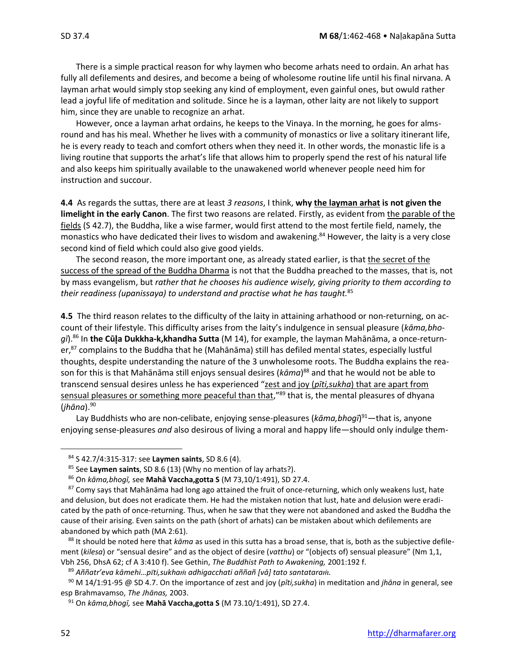There is a simple practical reason for why laymen who become arhats need to ordain. An arhat has fully all defilements and desires, and become a being of wholesome routine life until his final nirvana. A layman arhat would simply stop seeking any kind of employment, even gainful ones, but owuld rather lead a joyful life of meditation and solitude. Since he is a layman, other laity are not likely to support him, since they are unable to recognize an arhat.

However, once a layman arhat ordains, he keeps to the Vinaya. In the morning, he goes for almsround and has his meal. Whether he lives with a community of monastics or live a solitary itinerant life, he is every ready to teach and comfort others when they need it. In other words, the monastic life is a living routine that supports the arhat's life that allows him to properly spend the rest of his natural life and also keeps him spiritually available to the unawakened world whenever people need him for instruction and succour.

**4.4** As regards the suttas, there are at least *3 reasons*, I think, **why the layman arhat is not given the limelight in the early Canon**. The first two reasons are related. Firstly, as evident from the parable of the fields (S 42.7), the Buddha, like a wise farmer, would first attend to the most fertile field, namely, the monastics who have dedicated their lives to wisdom and awakening.<sup>84</sup> However, the laity is a very close second kind of field which could also give good yields.

The second reason, the more important one, as already stated earlier, is that the secret of the success of the spread of the Buddha Dharma is not that the Buddha preached to the masses, that is, not by mass evangelism, but *rather that he chooses his audience wisely, giving priority to them according to their readiness (upanissaya) to understand and practise what he has taught.*<sup>85</sup>

**4.5** The third reason relates to the difficulty of the laity in attaining arhathood or non-returning, on account of their lifestyle. This difficulty arises from the laity's indulgence in sensual pleasure (*kāma,bhogī*).<sup>86</sup> In **the Cūa Dukkha-k,khandha Sutta** (M 14), for example, the layman Mahānāma, a once-returner,<sup>87</sup> complains to the Buddha that he (Mahānāma) still has defiled mental states, especially lustful thoughts, despite understanding the nature of the 3 unwholesome roots. The Buddha explains the reason for this is that Mahānāma still enjoys sensual desires (*kāma*) <sup>88</sup> and that he would not be able to transcend sensual desires unless he has experienced "zest and joy (*pīti,sukha*) that are apart from sensual pleasures or something more peaceful than that,"89 that is, the mental pleasures of dhyana (*jhāna*).<sup>90</sup>

Lay Buddhists who are non-celibate, enjoying sense-pleasures (*kāma,bhogī*) <sup>91</sup>—that is, anyone enjoying sense-pleasures *and* also desirous of living a moral and happy life—should only indulge them-

<sup>84</sup> S 42.7/4:315-317: see **Laymen saints**, SD 8.6 (4).

<sup>85</sup> See **Laymen saints**, SD 8.6 (13) (Why no mention of lay arhats?).

<sup>86</sup> On *kāma,bhogī,* see **Mahā Vaccha,gotta S** (M 73,10/1:491), SD 27.4.

<sup>87</sup> Comy says that Mahānāma had long ago attained the fruit of once-returning, which only weakens lust, hate and delusion, but does not eradicate them. He had the mistaken notion that lust, hate and delusion were eradicated by the path of once-returning. Thus, when he saw that they were not abandoned and asked the Buddha the cause of their arising. Even saints on the path (short of arhats) can be mistaken about which defilements are abandoned by which path (MA 2:61).

<sup>88</sup> It should be noted here that *kāma* as used in this sutta has a broad sense, that is, both as the subjective defilement (*kilesa*) or "sensual desire" and as the object of desire (*vatthu*) or "(objects of) sensual pleasure" (Nm 1,1, Vbh 256, DhsA 62; cf A 3:410 f). See Gethin, *The Buddhist Path to Awakening,* 2001:192 f.

<sup>&</sup>lt;sup>89</sup> Aññatr'eva kāmehi...pīti, sukham adhigacchati aññañ [vā] tato santataram.

<sup>90</sup> M 14/1:91-95 @ SD 4.7. On the importance of zest and joy (*pīti,sukha*) in meditation and *jhāna* in general, see esp Brahmavamso, *The Jhānas,* 2003.

<sup>91</sup> On *kāma,bhogī,* see **Mahā Vaccha,gotta S** (M 73.10/1:491), SD 27.4.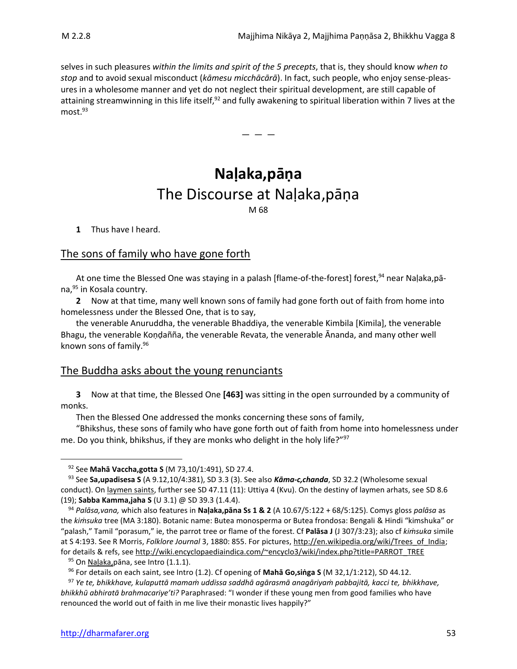selves in such pleasures *within the limits and spirit of the 5 precepts*, that is, they should know *when to stop* and to avoid sexual misconduct (*kāmesu micchācārā*). In fact, such people, who enjoy sense-pleasures in a wholesome manner and yet do not neglect their spiritual development, are still capable of attaining streamwinning in this life itself,<sup>92</sup> and fully awakening to spiritual liberation within 7 lives at the most.<sup>93</sup>

— — —

**Naḷaka,pāṇa** The Discourse at Naḷaka,pāṇa M 68

**1** Thus have I heard.

## The sons of family who have gone forth

At one time the Blessed One was staying in a palash [flame-of-the-forest] forest,<sup>94</sup> near Naḷaka,pāna,<sup>95</sup> in Kosala country.

**2** Now at that time, many well known sons of family had gone forth out of faith from home into homelessness under the Blessed One, that is to say,

the venerable Anuruddha, the venerable Bhaddiya, the venerable Kimbila [Kimila], the venerable Bhagu, the venerable Koṇḍañña, the venerable Revata, the venerable Ānanda, and many other well known sons of family.<sup>96</sup>

## The Buddha asks about the young renunciants

**3** Now at that time, the Blessed One **[463]** was sitting in the open surrounded by a community of monks.

Then the Blessed One addressed the monks concerning these sons of family,

"Bhikshus, these sons of family who have gone forth out of faith from home into homelessness under me. Do you think, bhikshus, if they are monks who delight in the holy life?"<sup>97</sup>

<sup>92</sup> See **Mahā Vaccha,gotta S** (M 73,10/1:491), SD 27.4.

<sup>93</sup> See **Sa,upadisesa S** (A 9.12,10/4:381), SD 3.3 (3). See also *Kāma-c,chanda*, SD 32.2 (Wholesome sexual conduct). On laymen saints, further see SD 47.11 (11): Uttiya 4 (Kvu). On the destiny of laymen arhats, see SD 8.6 (19); **Sabba Kamma,jaha S** (U 3.1) @ SD 39.3 (1.4.4).

<sup>94</sup> *Palāsa,vana,* which also features in **Naḷaka,pāna Ss 1 & 2** (A 10.67/5:122 + 68/5:125). Comys gloss *palāsa* as the *kiṁsuka* tree (MA 3:180). Botanic name: Butea monosperma or Butea frondosa: Bengali & Hindi "kimshuka" or "palash," Tamil "porasum," ie, the parrot tree or flame of the forest. Cf **Palāsa J** (J 307/3:23); also cf *kiṁsuka* simile at S 4:193. See R Morris, *Folklore Journal* 3, 1880: 855. For pictures[, http://en.wikipedia.org/wiki/Trees\\_of\\_India;](http://en.wikipedia.org/wiki/Trees_of_India) for details & refs, se[e http://wiki.encyclopaediaindica.com/~encyclo3/wiki/index.php?title=PARROT\\_TREE](http://wiki.encyclopaediaindica.com/~encyclo3/wiki/index.php?title=PARROT_TREE)

<sup>95</sup> On Naļaka, pāna, see Intro (1.1.1).

<sup>96</sup> For details on each saint, see Intro (1.2). Cf opening of **Mahā Go,siṅga S** (M 32,1/1:212), SD 44.12.

<sup>97</sup> *Ye te, bhikkhave, kulaputtā mamaṁ uddissa saddhā agārasmā anagāriyaṁ pabbajitā, kacci te, bhikkhave, bhikkhū abhiratā brahmacariye'ti?* Paraphrased: "I wonder if these young men from good families who have renounced the world out of faith in me live their monastic lives happily?"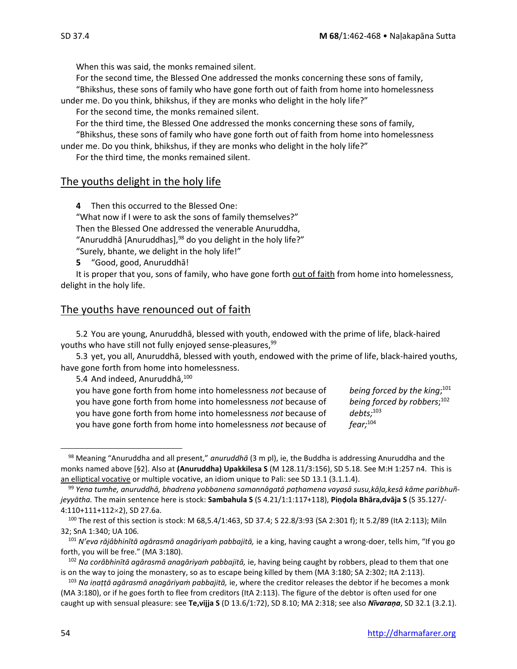When this was said, the monks remained silent.

For the second time, the Blessed One addressed the monks concerning these sons of family,

"Bhikshus, these sons of family who have gone forth out of faith from home into homelessness under me. Do you think, bhikshus, if they are monks who delight in the holy life?"

For the second time, the monks remained silent.

For the third time, the Blessed One addressed the monks concerning these sons of family,

"Bhikshus, these sons of family who have gone forth out of faith from home into homelessness under me. Do you think, bhikshus, if they are monks who delight in the holy life?"

For the third time, the monks remained silent.

#### The youths delight in the holy life

**4** Then this occurred to the Blessed One:

"What now if I were to ask the sons of family themselves?" Then the Blessed One addressed the venerable Anuruddha, "Anuruddhā [Anuruddhas], <sup>98</sup> do you delight in the holy life?" "Surely, bhante, we delight in the holy life!"

**5** "Good, good, Anuruddhā!

It is proper that you, sons of family, who have gone forth out of faith from home into homelessness, delight in the holy life.

## The youths have renounced out of faith

5.2 You are young, Anuruddhā, blessed with youth, endowed with the prime of life, black-haired youths who have still not fully enjoyed sense-pleasures, <sup>99</sup>

5.3 yet, you all, Anuruddhā, blessed with youth, endowed with the prime of life, black-haired youths, have gone forth from home into homelessness.

5.4 And indeed, Anuruddha, 100

you have gone forth from home into homelessness not because of you have gone forth from home into homelessness *not* because of you have gone forth from home into homelessness not because of you have gone forth from home into homelessness *not* because of

being forced by the king;<sup>101</sup> being forced by robbers;<sup>102</sup>  $debts:<sup>103</sup>$  $fear:$ <sup>104</sup>

<sup>98</sup> Meaning "Anuruddha and all present," *anuruddhā* (3 m pl), ie, the Buddha is addressing Anuruddha and the monks named above [§2]. Also at **(Anuruddha) Upakkilesa S** (M 128.11/3:156), SD 5.18. See M:H 1:257 n4. This is an elliptical vocative or multiple vocative, an idiom unique to Pali: see SD 13.1 (3.1.1.4).

<sup>99</sup> *Yena tumhe, anuruddhā, bhadrena yobbanena samannāgatā paṭhamena vayasā susu,kāḷa,kesā kāme paribhuñjeyyātha.* The main sentence here is stock: **Sambahula S** (S 4.21/1:1:117+118), **Piṇḍola Bhāra,dvāja S** (S 35.127/- 4:110+111+112×2), SD 27.6a.

<sup>100</sup> The rest of this section is stock: M 68,5.4/1:463, SD 37.4; S 22.8/3:93 (SA 2:301 f); It 5.2/89 (ItA 2:113); Miln 32; SnA 1:340; UA 106*.*

<sup>101</sup> *N'eva rājâbhinītā agārasmā anagāriyaṁ pabbajitā,* ie a king, having caught a wrong-doer, tells him, "If you go forth, you will be free." (MA 3:180).

<sup>102</sup> *Na corâbhinītā agārasmā anagāriyaṁ pabbajitā,* ie, having being caught by robbers, plead to them that one is on the way to joing the monastery, so as to escape being killed by them (MA 3:180; SA 2:302; ItA 2:113).

<sup>103</sup> *Na iṇaṭṭā agārasmā anagāriyaṁ pabbajitā,* ie, where the creditor releases the debtor if he becomes a monk (MA 3:180), or if he goes forth to flee from creditors (ItA 2:113). The figure of the debtor is often used for one caught up with sensual pleasure: see **Te,vijja S** (D 13.6/1:72), SD 8.10; MA 2:318; see also *Nīvaraṇa*, SD 32.1 (3.2.1).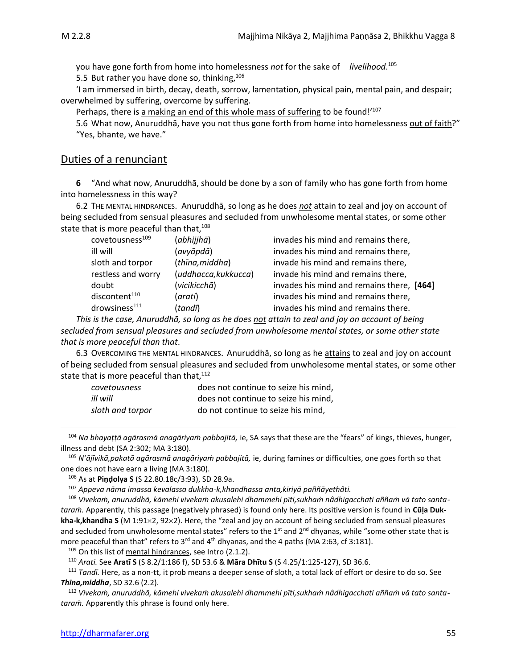you have gone forth from home into homelessness *not* for the sake of *livelihood*. 105

5.5 But rather you have done so, thinking,  $106$ 

'I am immersed in birth, decay, death, sorrow, lamentation, physical pain, mental pain, and despair; overwhelmed by suffering, overcome by suffering.

Perhaps, there is a making an end of this whole mass of suffering to be found!'107

5.6 What now, Anuruddhā, have you not thus gone forth from home into homelessness out of faith?" "Yes, bhante, we have."

## Duties of a renunciant

**6** "And what now, Anuruddhā, should be done by a son of family who has gone forth from home into homelessness in this way?

6.2 THE MENTAL HINDRANCES.Anuruddhā, so long as he does *not* attain to zeal and joy on account of being secluded from sensual pleasures and secluded from unwholesome mental states, or some other state that is more peaceful than that, 108

| covetousness <sup>109</sup> | (abhijjhā)           | invades his mind and remains there,       |
|-----------------------------|----------------------|-------------------------------------------|
| ill will                    | (avyāpdā)            | invades his mind and remains there,       |
| sloth and torpor            | (thīna, middha)      | invade his mind and remains there,        |
| restless and worry          | (uddhacca, kukkucca) | invade his mind and remains there,        |
| doubt                       | (vicikicchā)         | invades his mind and remains there, [464] |
| discontent <sup>110</sup>   | (arati)              | invades his mind and remains there,       |
| $d$ rowsiness $^{111}$      | (tandī)              | invades his mind and remains there.       |

*This is the case, Anuruddhā, so long as he does not attain to zeal and joy on account of being secluded from sensual pleasures and secluded from unwholesome mental states, or some other state that is more peaceful than that*.

6.3 OVERCOMING THE MENTAL HINDRANCES. Anuruddhā, so long as he attains to zeal and joy on account of being secluded from sensual pleasures and secluded from unwholesome mental states, or some other state that is more peaceful than that,<sup>112</sup>

| covetousness     | does not continue to seize his mind. |
|------------------|--------------------------------------|
| ill will         | does not continue to seize his mind. |
| sloth and torpor | do not continue to seize his mind.   |

<sup>104</sup> *Na bhayaṭṭā agārasmā anagāriyaṁ pabbajitā,* ie, SA says that these are the "fears" of kings, thieves, hunger, illness and debt (SA 2:302; MA 3:180).

<sup>105</sup> *N'ājīvikā,pakatā agārasmā anagāriyaṁ pabbajitā,* ie, during famines or difficulties, one goes forth so that one does not have earn a living (MA 3:180).

<sup>106</sup> As at **Piṇḍolya S** (S 22.80.18c/3:93), SD 28.9a.

<sup>107</sup> *Appeva nāma imassa kevalassa dukkha-k,khandhassa anta,kiriyā paññāyethâti.*

<sup>108</sup> *Vivekaṁ, anuruddhā, kāmehi vivekaṁ akusalehi dhammehi pīti,sukhaṁ nâdhigacchati aññaṁ vā tato santataraṁ.* Apparently, this passage (negatively phrased) is found only here. Its positive version is found in **Cūḷa Dukkha-k,khandha S** (M 1:912, 922). Here, the "zeal and joy on account of being secluded from sensual pleasures and secluded from unwholesome mental states" refers to the 1<sup>st</sup> and 2<sup>nd</sup> dhyanas, while "some other state that is more peaceful than that" refers to 3<sup>rd</sup> and 4<sup>th</sup> dhyanas, and the 4 paths (MA 2:63, cf 3:181).

109 On this list of mental hindrances, see Intro (2.1.2).

<sup>110</sup> *Arati.* See **Aratī S** (S 8.2/1:186 f), SD 53.6 & **Māra Dhītu S** (S 4.25/1:125-127), SD 36.6.

<sup>111</sup> *Tandī.* Here, as a non-tt, it prob means a deeper sense of sloth, a total lack of effort or desire to do so. See *Thīna,middha*, SD 32.6 (2.2).

<sup>112</sup> *Vivekaṁ, anuruddhā, kāmehi vivekaṁ akusalehi dhammehi pīti,sukhaṁ nâdhigacchati aññaṁ vā tato santataraṁ.* Apparently this phrase is found only here.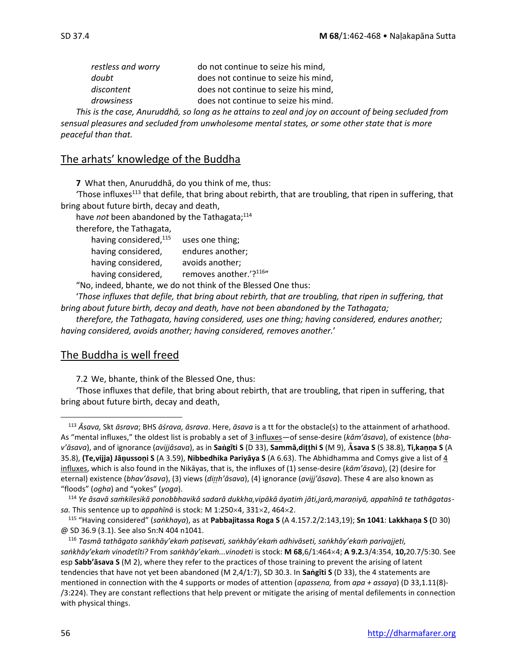| do not continue to seize his mind,   |
|--------------------------------------|
| does not continue to seize his mind, |
| does not continue to seize his mind. |
| does not continue to seize his mind. |
|                                      |

*This is the case, Anuruddhā, so long as he attains to zeal and joy on account of being secluded from sensual pleasures and secluded from unwholesome mental states, or some other state that is more peaceful than that.*

## The arhats' knowledge of the Buddha

**7** What then, Anuruddhā, do you think of me, thus:

'Those influxes<sup>113</sup> that defile, that bring about rebirth, that are troubling, that ripen in suffering, that bring about future birth, decay and death,

have *not* been abandoned by the Tathagata; 114

therefore, the Tathagata,

| having considered, 115 | uses one thing;        |
|------------------------|------------------------|
| having considered,     | endures another;       |
| having considered,     | avoids another;        |
| having considered,     | removes another.'?116" |
|                        |                        |

"No, indeed, bhante, we do not think of the Blessed One thus:

'*Those influxes that defile, that bring about rebirth, that are troubling, that ripen in suffering, that bring about future birth, decay and death, have not been abandoned by the Tathagata;*

*therefore, the Tathagata, having considered, uses one thing; having considered, endures another; having considered, avoids another; having considered, removes another.*'

## The Buddha is well freed

7.2 We, bhante, think of the Blessed One, thus:

'Those influxes that defile, that bring about rebirth, that are troubling, that ripen in suffering, that bring about future birth, decay and death,

<sup>113</sup> *Āsava,* Skt *āsrava*; BHS *āśrava, āsrava*. Here, *āsava* is a tt for the obstacle(s) to the attainment of arhathood. As "mental influxes," the oldest list is probably a set of 3 influxes—of sense-desire (*kām'āsava*), of existence (*bhav'āsava*), and of ignorance (*avijjâsava*), as in **Sagīti S** (D 33), **Sammā,dihi S** (M 9), **sava S** (S 38.8), **Ti,kaṇṇa S** (A 35.8), **(Te,vijja) Jāussoṇi S** (A 3.59), **Nibbedhika Pariyāya S** (A 6.63). The Abhidhamma and Comys give a list of 4 influxes, which is also found in the Nikāyas, that is, the influxes of (1) sense-desire (*kām'āsava*), (2) (desire for eternal) existence (*bhav'āsava*), (3) views (*dih'āsava*), (4) ignorance (*avijj'āsava*). These 4 are also known as "floods" (*ogha*) and "yokes" (*yoga*).

<sup>114</sup> *Ye āsavā saṁkilesikā ponobbhavikā sadarā dukkha,vipākā āyatiṁ jāti,jarā,maraṇiyā, appahīnā te tathāgatassa.* This sentence up to *appahīnā* is stock: M 1:250 $\times$ 4, 331 $\times$ 2, 464 $\times$ 2.

<sup>115</sup> "Having considered" (*saṅkhaya*), as at **Pabbajitassa Roga S** (A 4.157.2/2:143,19); **Sn 1041**: **Lakkhaṇa S (**D 30) @ SD 36.9 (3.1). See also Sn:N 404 n1041.

<sup>116</sup> *Tasmā tathāgato saṅkhāy'ekaṁ paṭisevati, saṅkhāy'ekaṁ adhivāseti, saṅkhāy'ekaṁ parivajjeti, saṅkhāy'ekaṁ vinodetîti?* From *saṅkhāy'ekaṁ...vinodeti* is stock: **M 68**,6/1:4644; **A 9.2.**3/4:354, **10,**20.7/5:30. See esp **Sabb'āsava S** (M 2), where they refer to the practices of those training to prevent the arising of latent tendencies that have not yet been abandoned (M 2,4/1:7), SD 30.3. In **Saṅgīti S** (D 33), the 4 statements are mentioned in connection with the 4 supports or modes of attention (*apassena,* from *apa + assaya*) (D 33,1.11(8)- /3:224). They are constant reflections that help prevent or mitigate the arising of mental defilements in connection with physical things.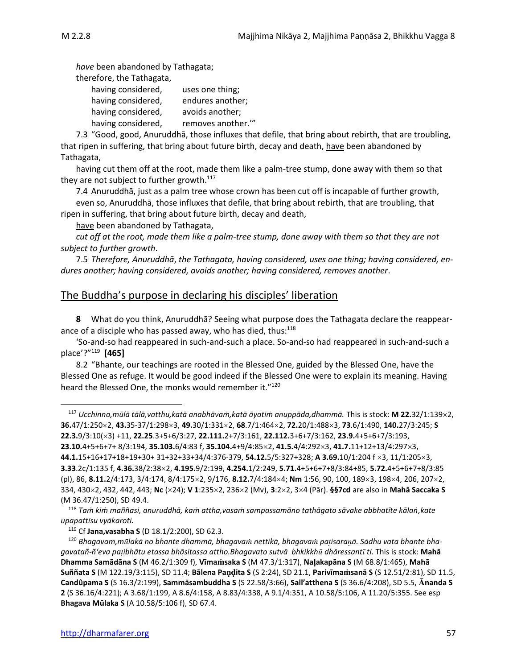*have* been abandoned by Tathagata; therefore, the Tathagata, having considered, uses one thing; having considered, endures another; having considered, avoids another; having considered, removes another."

7.3 "Good, good, Anuruddhā, those influxes that defile, that bring about rebirth, that are troubling, that ripen in suffering, that bring about future birth, decay and death, have been abandoned by Tathagata,

having cut them off at the root, made them like a palm-tree stump, done away with them so that they are not subject to further growth.<sup>117</sup>

7.4 Anuruddhā, just as a palm tree whose crown has been cut off is incapable of further growth, even so, Anuruddhā, those influxes that defile, that bring about rebirth, that are troubling, that ripen in suffering, that bring about future birth, decay and death,

have been abandoned by Tathagata,

*cut off at the root, made them like a palm-tree stump, done away with them so that they are not subject to further growth*.

7.5 *Therefore, Anuruddhā*, *the Tathagata, having considered, uses one thing; having considered, endures another; having considered, avoids another; having considered, removes another*.

## The Buddha's purpose in declaring his disciples' liberation

**8** What do you think, Anuruddhā? Seeing what purpose does the Tathagata declare the reappearance of a disciple who has passed away, who has died, thus: $118$ 

'So-and-so had reappeared in such-and-such a place. So-and-so had reappeared in such-and-such a place'?" 119 **[465]**

8.2 "Bhante, our teachings are rooted in the Blessed One, guided by the Blessed One, have the Blessed One as refuge. It would be good indeed if the Blessed One were to explain its meaning. Having heard the Blessed One, the monks would remember it."<sup>120</sup>

<sup>117</sup> *Ucchinna,mūlā tālā,vatthu,katā anabhāvaṁ,katā āyatiṁ anuppāda,dhammā.* This is stock: **M 22.**32/1:1392, **36.**47/1:2502, **43.**35-37/1:2983, **49.**30/1:3312, **68**.7/1:4642, **72.**20/1:4883, **73**.6/1:490, **140.**27/3:245; **S 22.3.**9/3:10(3) +11, **22.25**.3+5+6/3:27, **22.111.**2+7/3:161, **22.112.**3+6+7/3:162, **23.9.**4+5+6+7/3:193, **23.10.**4+5+6+7+ 8/3:194, **35.103.**6/4:83 f, **35.104.**4+9/4:852, **41.5.**4/4:2923, **41.7.**11+12+13/4:2973, **44.1.**15+16+17+18+19+30+ 31+32+33+34/4:376-379, **54.12.**5/5:327+328; **A 3.69.**10/1:204 f 3, 11/1:2053, **3.33**.2c/1:135 f, **4.36.**38/2:382, **4.195.**9/2:199, **4.254.**1/2:249, **5.71.**4+5+6+7+8/3:84+85, **5.72.**4+5+6+7+8/3:85 (pl), 86, **8.11.**2/4:173, 3/4:174, 8/4:1752, 9/176, **8.12.**7/4:1844; **Nm** 1:56, 90, 100, 1893, 1984, 206, 2072, 334, 4302, 432, 442, 443; **Nc** (24); **V 1**:2352, 2362 (Mv), **3**:22, 34 (Pār). **§§7cd** are also in **Mahā Saccaka S**  (M 36.47/1:250), SD 49.4.

<sup>118</sup> *Taṁ kiṁ maññasi, anuruddhā, kaṁ attha,vasaṁ sampassamāno tathāgato sāvake abbhatīte kālaṅ,kate upapattīsu vyākaroti.*

<sup>119</sup> Cf **Jana,vasabha S** (D 18.1/2:200), SD 62.3.

<sup>120</sup> Bhagavam, mūlakā no bhante dhammā, bhagavam nettikā, bhagavam pațisaranā. Sādhu vata bhante bha*gavatañ-ñ'eva paibhātu etassa bhāsitassa attho.Bhagavato sutvā bhkikkh dhāressant ti*. This is stock: **Mahā Dhamma Samādāna S** (M 46.2/1:309 f), **Vīmasaka S** (M 47.3/1:317), **Naakapāna S** (M 68.8/1:465), **Mahā Suññata S** (M 122.19/3:115), SD 11.4; **Bālena Paita S** (S 2:24), SD 21.1, **Parivīmasanā S** (S 12.51/2:81), SD 11.5, **Candûpama S** (S 16.3/2:199), **Sammāsambuddha S** (S 22.58/3:66), **Sall'atthena S** (S 36.6/4:208), SD 5.5, **nanda S 2** (S 36.16/4:221); A 3.68/1:199, A 8.6/4:158, A 8.83/4:338, A 9.1/4:351, A 10.58/5:106, A 11.20/5:355. See esp **Bhagava Mūlaka S** (A 10.58/5:106 f), SD 67.4.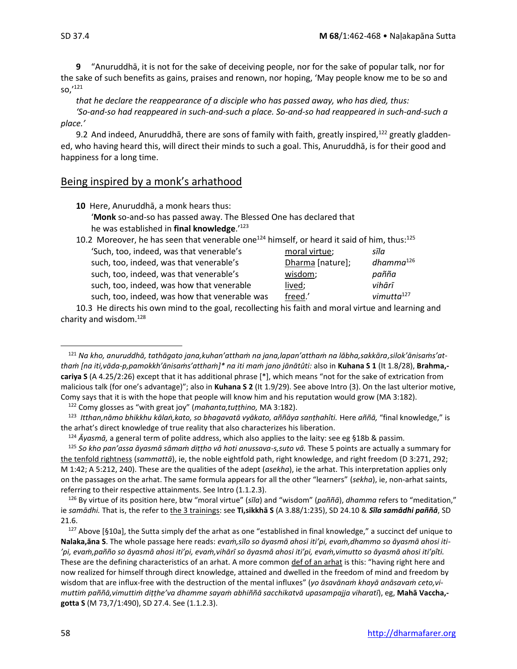**9** "Anuruddhā, it is not for the sake of deceiving people, nor for the sake of popular talk, nor for the sake of such benefits as gains, praises and renown, nor hoping, 'May people know me to be so and so,' 121

*that he declare the reappearance of a disciple who has passed away, who has died, thus: 'So-and-so had reappeared in such-and-such a place. So-and-so had reappeared in such-and-such a* 

#### *place.'*

9.2 And indeed, Anuruddhā, there are sons of family with faith, greatly inspired,<sup>122</sup> greatly gladdened, who having heard this, will direct their minds to such a goal. This, Anuruddhā, is for their good and happiness for a long time.

## Being inspired by a monk's arhathood

**10** Here, Anuruddhā, a monk hears thus: '**Monk** so-and-so has passed away. The Blessed One has declared that he was established in **final knowledge**.'<sup>123</sup>

| 10.2 Moreover, he has seen that venerable one <sup>124</sup> himself, or heard it said of him, thus: <sup>125</sup> |                  |                |
|---------------------------------------------------------------------------------------------------------------------|------------------|----------------|
| 'Such, too, indeed, was that venerable's                                                                            | moral virtue;    | sīla           |
| such, too, indeed, was that venerable's                                                                             | Dharma [nature]; | $dhamma^{126}$ |
| such, too, indeed, was that venerable's                                                                             | wisdom;          | pañña          |
| such, too, indeed, was how that venerable                                                                           | lived;           | vihārī         |
| such, too, indeed, was how that venerable was                                                                       | freed.'          | vimutta $127$  |

10.3He directs his own mind to the goal, recollecting his faith and moral virtue and learning and charity and wisdom.<sup>128</sup>

<sup>124</sup> *Āyasmā,* a general term of polite address, which also applies to the laity: see eg §18b & passim.

<sup>126</sup> By virtue of its position here, btw "moral virtue" (*sīla*) and "wisdom" (*paññā*), *dhamma* refers to "meditation," ie *samādhi.* That is, the refer to the 3 trainings: see **Ti,sikkhā S** (A 3.88/1:235), SD 24.10 & *Sīla samādhi paññā*, SD 21.6.

 $127$  Above [§10a], the Sutta simply def the arhat as one "established in final knowledge," a succinct def unique to **Nalaka,āna S**. The whole passage here reads: *evaṁ,sīlo so āyasmā ahosi iti'pi, evaṁ,dhammo so āyasmā ahosi iti- 'pi, evaṁ,pañño so āyasmā ahosi iti'pi, evaṁ,vihārī so āyasmā ahosi iti'pi, evaṁ,vimutto so āyasmā ahosi iti'pîti.*  These are the defining characteristics of an arhat. A more common def of an arhat is this: "having right here and now realized for himself through direct knowledge, attained and dwelled in the freedom of mind and freedom by wisdom that are influx-free with the destruction of the mental influxes" (*yo āsavānaṁ khayā anāsavaṁ ceto,vimuttiṁ paññā,vimuttiṁ diṭṭhe'va dhamme sayaṁ abhiññā sacchikatvā upasampajja viharatī*), eg, **Mahā Vaccha, gotta S** (M 73,7/1:490), SD 27.4. See (1.1.2.3).

<sup>121</sup> *Na kho, anuruddhā, tathāgato jana,kuhan'atthaṁ na jana,lapan'atthaṁ na lābha,sakkāra,silok'ānisaṁs'atthaṁ [na iti,vāda-p,pamokkh'ānisaṁs'atthaṁ]\* na iti maṁ jano jānātûti:* also in **Kuhana S 1** (It 1.8/28), **Brahma, cariya S** (A 4.25/2:26) except that it has additional phrase [\*], which means "not for the sake of extrication from malicious talk (for one's advantage)"; also in **Kuhana S 2** (It 1.9/29). See above Intro (3). On the last ulterior motive, Comy says that it is with the hope that people will know him and his reputation would grow (MA 3:182).

<sup>122</sup> Comy glosses as "with great joy" (*mahanta,tuṭṭhino,* MA 3:182).

<sup>123</sup> *Itthan,nāmo bhikkhu kālaṅ,kato, so bhagavatā vyākato, aññāya saṇṭhahîti.* Here *aññā,* "final knowledge," is the arhat's direct knowledge of true reality that also characterizes his liberation.

<sup>125</sup> *So kho pan'assa āyasmā sāmaṁ diṭṭho vā hoti anussava-s,suto vā.* These 5 points are actually a summary for the tenfold rightness (*sammattā*), ie, the noble eightfold path, right knowledge, and right freedom (D 3:271, 292; M 1:42; A 5:212, 240). These are the qualities of the adept (*asekha*), ie the arhat. This interpretation applies only on the passages on the arhat. The same formula appears for all the other "learners" (*sekha*), ie, non-arhat saints, referring to their respective attainments. See Intro (1.1.2.3).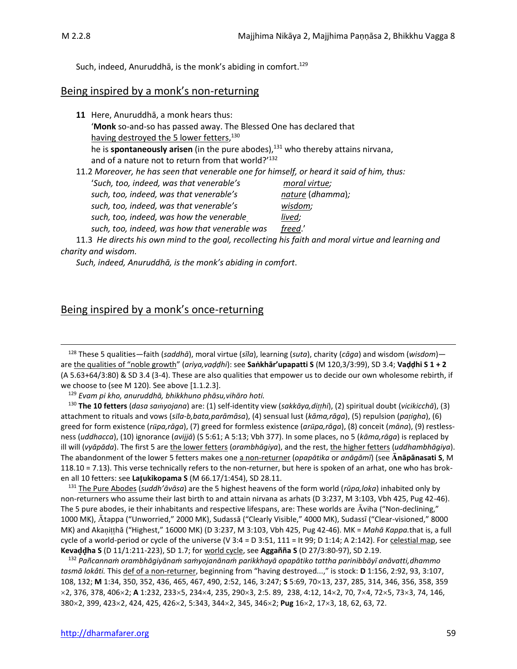Such, indeed, Anuruddhā, is the monk's abiding in comfort.<sup>129</sup>

## Being inspired by a monk's non-returning

| 11 Here, Anuruddhā, a monk hears thus:                                                             |                  |
|----------------------------------------------------------------------------------------------------|------------------|
| 'Monk so-and-so has passed away. The Blessed One has declared that                                 |                  |
| having destroyed the 5 lower fetters, <sup>130</sup>                                               |                  |
| he is <b>spontaneously arisen</b> (in the pure abodes), $131$ who thereby attains nirvana,         |                  |
| and of a nature not to return from that world?'132                                                 |                  |
| 11.2 Moreover, he has seen that venerable one for himself, or heard it said of him, thus:          |                  |
| 'Such, too, indeed, was that venerable's                                                           | moral virtue;    |
| such, too, indeed, was that venerable's                                                            | nature (dhamma); |
| such, too, indeed, was that venerable's                                                            | wisdom;          |
| such, too, indeed, was how the venerable                                                           | lived;           |
| such, too, indeed, was how that venerable was                                                      | freed.'          |
| 11.3 He directs his own mind to the goal, recollecting his faith and moral virtue and learning and |                  |

#### *charity and wisdom.*

*Such, indeed, Anuruddhā, is the monk's abiding in comfort*.

## Being inspired by a monk's once-returning

<sup>128</sup> These 5 qualities—faith (*saddhā*), moral virtue (*sīla*), learning (*suta*), charity (*cāga*) and wisdom (*wisdom*) are the qualities of "noble growth" (*ariya,vaḍḍhi*): see **Saṅkhār'upapatti S** (M 120,3/3:99), SD 3.4; **Vaḍḍhi S 1 + 2**  (A 5.63+64/3:80) & SD 3.4 (3-4). These are also qualities that empower us to decide our own wholesome rebirth, if we choose to (see M 120). See above [1.1.2.3].

<sup>129</sup> *Evam pi kho, anuruddhā, bhikkhuno phāsu,vihāro hoti.*

<sup>130</sup> **The 10 fetters** (*dasa sayojana*) are: (1) self-identity view (*sakkāya,dihi*), (2) spiritual doubt (*vicikicchā*), (3) attachment to rituals and vows (*sla-b,bata,parāmāsa*), (4) sensual lust (*kāma,rāga*), (5) repulsion (*paigha*), (6) greed for form existence (*rpa,rāga*), (7) greed for formless existence (*arpa,rāga*), (8) conceit (*māna*), (9) restlessness (*uddhacca*), (10) ignorance (*avijjā*) (S 5:61; A 5:13; Vbh 377). In some places, no 5 (*kāma,rāga*) is replaced by ill will (*vyāpāda*). The first 5 are the lower fetters (*orambhāgiya*), and the rest, the higher fetters (*uddhambhāgiya*). The abandonment of the lower 5 fetters makes one a non-returner (*opapātika* or *anāgāmī*) (see **nāpānasati S**, M 118.10 = 7.13). This verse technically refers to the non-returner, but here is spoken of an arhat, one who has broken all 10 fetters: see **Laukikopama S** (M 66.17/1:454), SD 28.11.

<sup>131</sup> The Pure Abodes (*suddh'āvāsa*) are the 5 highest heavens of the form world (*rūpa,loka*) inhabited only by non-returners who assume their last birth to and attain nirvana as arhats (D 3:237, M 3:103, Vbh 425, Pug 42-46). The 5 pure abodes, ie their inhabitants and respective lifespans, are: These worlds are  $\bar{A}$ viha ("Non-declining," 1000 MK), Ātappa ("Unworried," 2000 MK), Sudassā ("Clearly Visible," 4000 MK), Sudassī ("Clear-visioned," 8000 MK) and Akanitthā ("Highest," 16000 MK) (D 3:237, M 3:103, Vbh 425, Pug 42-46). MK = *Mahā Kappa*.that is, a full cycle of a world-period or cycle of the universe (V 3:4 = D 3:51, 111 = It 99; D 1:14; A 2:142). For celestial map, see **Kevaha S** (D 11/1:211-223), SD 1.7; for world cycle, see **Aggañña S** (D 27/3:80-97), SD 2.19.

<sup>132</sup> *Pañcannaṁ orambhāgiyānaṁ saṁyojanānaṁ parikkhayā opapātiko tattha parinibbāyī anāvatti,dhammo tasmā lokâti.* This def of a non-returner, beginning from "having destroyed...," is stock: **D** 1:156, 2:92, 93, 3:107, 108, 132; **M** 1:34, 350, 352, 436, 465, 467, 490, 2:52, 146, 3:247; **S** 5:69, 70×13, 237, 285, 314, 346, 356, 358, 359 2, 376, 378, 4062; **A** 1:232, 2335, 2344, 235, 2903, 2:5. 89, 238, 4:12, 142, 70, 74, 725, 733, 74, 146, 3802, 399, 4232, 424, 425, 4262, 5:343, 3442, 345, 3462; **Pug** 162, 173, 18, 62, 63, 72.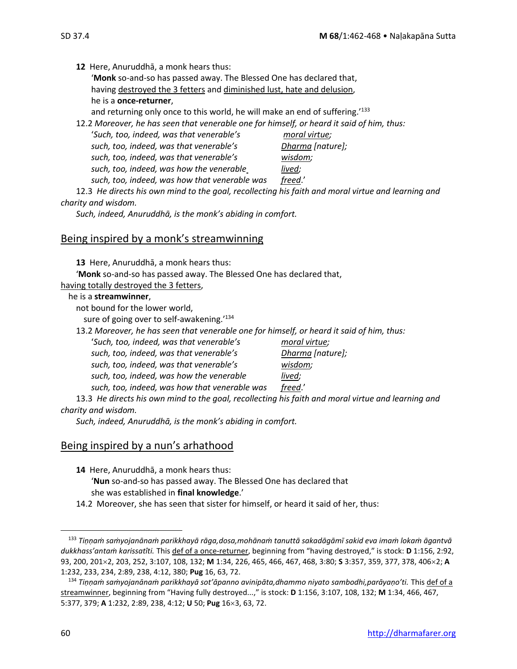**12** Here, Anuruddhā, a monk hears thus:

'**Monk** so-and-so has passed away. The Blessed One has declared that, having destroyed the 3 fetters and diminished lust, hate and delusion, he is a **once-returner**,

and returning only once to this world, he will make an end of suffering.<sup>133</sup>

12.2 *Moreover, he has seen that venerable one for himself, or heard it said of him, thus:*

| 'Such, too, indeed, was that venerable's      | moral virtue;    |
|-----------------------------------------------|------------------|
| such, too, indeed, was that venerable's       | Dharma [nature]; |
| such, too, indeed, was that venerable's       | wisdom;          |
| such, too, indeed, was how the venerable      | lived;           |
| such, too, indeed, was how that venerable was | freed.'          |
|                                               |                  |

12.3 *He directs his own mind to the goal, recollecting his faith and moral virtue and learning and charity and wisdom.*

*Such, indeed, Anuruddhā, is the monk's abiding in comfort.*

## Being inspired by a monk's streamwinning

**13** Here, Anuruddhā, a monk hears thus:

'**Monk** so-and-so has passed away. The Blessed One has declared that,

#### having totally destroyed the 3 fetters,

#### he is a **streamwinner**,

not bound for the lower world,

sure of going over to self-awakening.'<sup>134</sup>

13.2 *Moreover, he has seen that venerable one for himself, or heard it said of him, thus:*

'*Such, too, indeed, was that venerable's moral virtue; such, too, indeed, was that venerable's Dharma [nature];* 

*such, too, indeed, was that venerable's wisdom; such, too, indeed, was how the venerable lived;* 

*such, too, indeed, was how that venerable was freed*.'

13.3 *He directs his own mind to the goal, recollecting his faith and moral virtue and learning and charity and wisdom.*

*Such, indeed, Anuruddhā, is the monk's abiding in comfort.*

## Being inspired by a nun's arhathood

**14** Here, Anuruddhā, a monk hears thus:

'**Nun** so-and-so has passed away. The Blessed One has declared that she was established in **final knowledge**.'

14.2 Moreover, she has seen that sister for himself, or heard it said of her, thus:

<sup>133</sup> *Tiṇṇaṁ saṁyojanānaṁ parikkhayā rāga,dosa,mohānaṁ tanuttā sakadāgāmī sakid eva imaṁ lokaṁ āgantvā dukkhass'antaṁ karissatîti.* This def of a once-returner, beginning from "having destroyed," is stock: **D** 1:156, 2:92, 93, 200, 2012, 203, 252, 3:107, 108, 132; **M** 1:34, 226, 465, 466, 467, 468, 3:80; **S** 3:357, 359, 377, 378, 4062; **A**  1:232, 233, 234, 2:89, 238, 4:12, 380; **Pug** 16, 63, 72.

<sup>134</sup> *Tiṇṇaṁ saṁyojanānaṁ parikkhayā sot'āpanno avinipāta,dhammo niyato sambodhi,parāyaṇo'ti.* This def of a streamwinner, beginning from "Having fully destroyed...," is stock: **D** 1:156, 3:107, 108, 132; **M** 1:34, 466, 467, 5:377, 379; **A** 1:232, 2:89, 238, 4:12; **U** 50; Pug 16×3, 63, 72.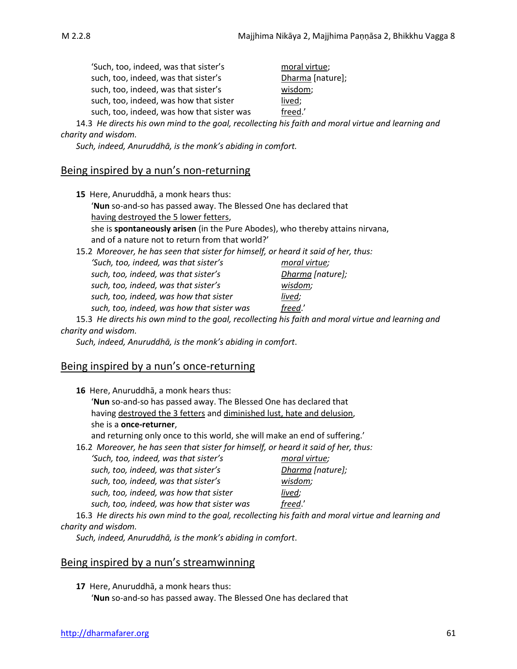| 'Such, too, indeed, was that sister's      | moral virtue;    |
|--------------------------------------------|------------------|
| such, too, indeed, was that sister's       | Dharma [nature]; |
| such, too, indeed, was that sister's       | wisdom;          |
| such, too, indeed, was how that sister     | lived;           |
| such, too, indeed, was how that sister was | freed.'          |

14.3 *He directs his own mind to the goal, recollecting his faith and moral virtue and learning and charity and wisdom.*

*Such, indeed, Anuruddhā, is the monk's abiding in comfort.*

## Being inspired by a nun's non-returning

| 15 Here, Anuruddhā, a monk hears thus:                                             |                  |  |
|------------------------------------------------------------------------------------|------------------|--|
| 'Nun so-and-so has passed away. The Blessed One has declared that                  |                  |  |
| having destroyed the 5 lower fetters,                                              |                  |  |
| she is spontaneously arisen (in the Pure Abodes), who thereby attains nirvana,     |                  |  |
| and of a nature not to return from that world?'                                    |                  |  |
| 15.2 Moreover, he has seen that sister for himself, or heard it said of her, thus: |                  |  |
| 'Such, too, indeed, was that sister's                                              | moral virtue;    |  |
| such, too, indeed, was that sister's                                               | Dharma [nature]; |  |
| such, too, indeed, was that sister's                                               | wisdom;          |  |
| such, too, indeed, was how that sister                                             | lived;           |  |

*such, too, indeed, was how that sister was freed*.'

15.3 *He directs his own mind to the goal, recollecting his faith and moral virtue and learning and charity and wisdom.*

*Such, indeed, Anuruddhā, is the monk's abiding in comfort*.

## Being inspired by a nun's once-returning

| 16 Here, Anuruddhā, a monk hears thus:                                                             |                  |  |  |
|----------------------------------------------------------------------------------------------------|------------------|--|--|
| 'Nun so-and-so has passed away. The Blessed One has declared that                                  |                  |  |  |
| having destroyed the 3 fetters and diminished lust, hate and delusion,                             |                  |  |  |
| she is a <b>once-returner</b> ,                                                                    |                  |  |  |
| and returning only once to this world, she will make an end of suffering.                          |                  |  |  |
| 16.2 Moreover, he has seen that sister for himself, or heard it said of her, thus:                 |                  |  |  |
| 'Such, too, indeed, was that sister's                                                              | moral virtue;    |  |  |
| such, too, indeed, was that sister's                                                               | Dharma [nature]; |  |  |
| such, too, indeed, was that sister's                                                               | wisdom;          |  |  |
| such, too, indeed, was how that sister                                                             | lived;           |  |  |
| such, too, indeed, was how that sister was                                                         | freed.'          |  |  |
| 16.3 He directs his own mind to the goal, recollecting his faith and moral virtue and learning and |                  |  |  |

*charity and wisdom.*

*Such, indeed, Anuruddhā, is the monk's abiding in comfort*.

#### Being inspired by a nun's streamwinning

**17** Here, Anuruddhā, a monk hears thus: '**Nun** so-and-so has passed away. The Blessed One has declared that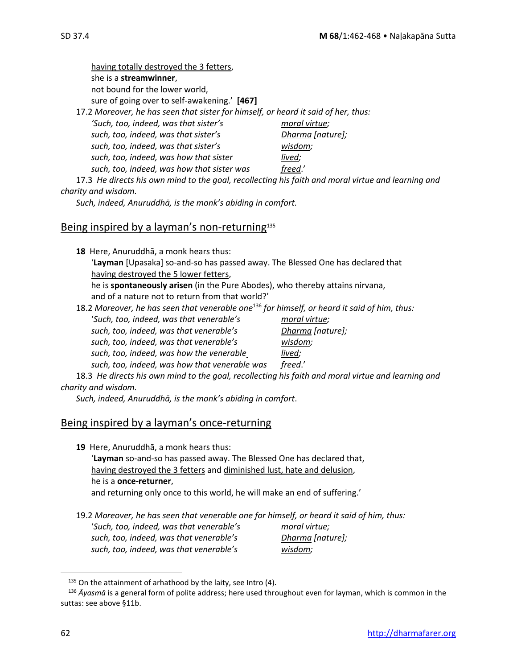having totally destroyed the 3 fetters, she is a **streamwinner**, not bound for the lower world, sure of going over to self-awakening.' **[467]** 17.2 *Moreover, he has seen that sister for himself, or heard it said of her, thus: 'Such, too, indeed, was that sister's moral virtue; such, too, indeed, was that sister's Dharma [nature]; such, too, indeed, was that sister's wisdom; such, too, indeed, was how that sister lived;* 

17.3 *He directs his own mind to the goal, recollecting his faith and moral virtue and learning and charity and wisdom.*

*Such, indeed, Anuruddhā, is the monk's abiding in comfort.*

*such, too, indeed, was how that sister was freed*.'

#### Being inspired by a layman's non-returning<sup>135</sup>

**18** Here, Anuruddhā, a monk hears thus: '**Layman** [Upasaka] so-and-so has passed away. The Blessed One has declared that having destroyed the 5 lower fetters, he is **spontaneously arisen** (in the Pure Abodes), who thereby attains nirvana, and of a nature not to return from that world?'

18.2 *Moreover, he has seen that venerable one*<sup>136</sup> *for himself, or heard it said of him, thus:* '*Such, too, indeed, was that venerable's moral virtue; such, too, indeed, was that venerable's Dharma [nature]; such, too, indeed, was that venerable's wisdom; such, too, indeed, was how the venerable lived; such, too, indeed, was how that venerable was freed*.'

18.3*He directs his own mind to the goal, recollecting his faith and moral virtue and learning and charity and wisdom.*

*Such, indeed, Anuruddhā, is the monk's abiding in comfort*.

#### Being inspired by a layman's once-returning

**19** Here, Anuruddhā, a monk hears thus: '**Layman** so-and-so has passed away. The Blessed One has declared that, having destroyed the 3 fetters and diminished lust, hate and delusion, he is a **once-returner**, and returning only once to this world, he will make an end of suffering.'

19.2 *Moreover, he has seen that venerable one for himself, or heard it said of him, thus:* '*Such, too, indeed, was that venerable's moral virtue;* 

*such, too, indeed, was that venerable's Dharma [nature]; such, too, indeed, was that venerable's wisdom;* 

 $135$  On the attainment of arhathood by the laity, see Intro (4).

<sup>136</sup> *Āyasmā* is a general form of polite address; here used throughout even for layman, which is common in the suttas: see above §11b.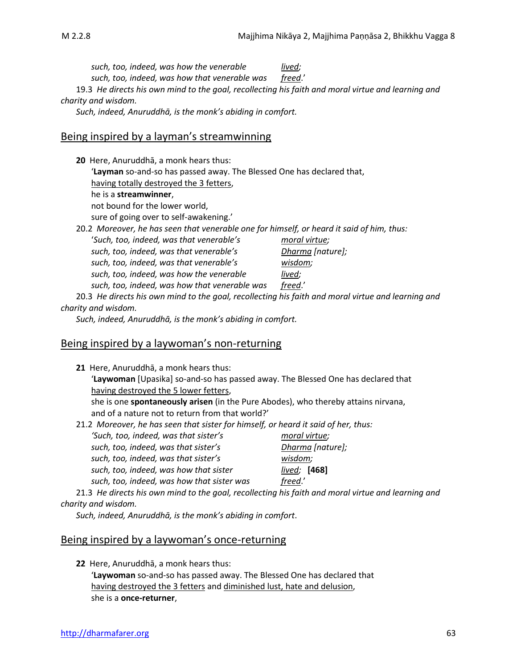*such, too, indeed, was how the venerable lived; such, too, indeed, was how that venerable was freed*.' 19.3 *He directs his own mind to the goal, recollecting his faith and moral virtue and learning and* 

*charity and wisdom.*

*Such, indeed, Anuruddhā, is the monk's abiding in comfort.*

### Being inspired by a layman's streamwinning

| 20 Here, Anuruddhā, a monk hears thus:                                                             |                  |  |  |  |
|----------------------------------------------------------------------------------------------------|------------------|--|--|--|
| 'Layman so-and-so has passed away. The Blessed One has declared that,                              |                  |  |  |  |
| having totally destroyed the 3 fetters,                                                            |                  |  |  |  |
| he is a <b>streamwinner</b> ,                                                                      |                  |  |  |  |
| not bound for the lower world,                                                                     |                  |  |  |  |
| sure of going over to self-awakening.'                                                             |                  |  |  |  |
| 20.2 Moreover, he has seen that venerable one for himself, or heard it said of him, thus:          |                  |  |  |  |
| 'Such, too, indeed, was that venerable's                                                           | moral virtue;    |  |  |  |
| such, too, indeed, was that venerable's                                                            | Dharma (nature); |  |  |  |
| such, too, indeed, was that venerable's                                                            | wisdom;          |  |  |  |
| such, too, indeed, was how the venerable                                                           | lived;           |  |  |  |
| such, too, indeed, was how that venerable was                                                      | freed.'          |  |  |  |
| 20.3 He directs his own mind to the goal, recollecting his faith and moral virtue and learning and |                  |  |  |  |

#### *charity and wisdom.*

*Such, indeed, Anuruddhā, is the monk's abiding in comfort.*

#### Being inspired by a laywoman's non-returning

|                                                                                    | 21 Here, Anuruddhā, a monk hears thus:                                             |                  |  |
|------------------------------------------------------------------------------------|------------------------------------------------------------------------------------|------------------|--|
|                                                                                    | 'Laywoman [Upasika] so-and-so has passed away. The Blessed One has declared that   |                  |  |
|                                                                                    | having destroyed the 5 lower fetters,                                              |                  |  |
|                                                                                    | she is one spontaneously arisen (in the Pure Abodes), who thereby attains nirvana, |                  |  |
| and of a nature not to return from that world?'                                    |                                                                                    |                  |  |
| 21.2 Moreover, he has seen that sister for himself, or heard it said of her, thus: |                                                                                    |                  |  |
|                                                                                    | 'Such, too, indeed, was that sister's                                              | moral virtue;    |  |
|                                                                                    | such, too, indeed, was that sister's                                               | Dharma [nature]; |  |
|                                                                                    | such, too, indeed, was that sister's                                               | wisdom;          |  |
|                                                                                    | such, too, indeed, was how that sister                                             | lived:<br>[468]  |  |

*such, too, indeed, was how that sister was freed*.' 21.3 *He directs his own mind to the goal, recollecting his faith and moral virtue and learning and* 

#### *charity and wisdom.*

*Such, indeed, Anuruddhā, is the monk's abiding in comfort*.

## Being inspired by a laywoman's once-returning

**22** Here, Anuruddhā, a monk hears thus:

'**Laywoman** so-and-so has passed away. The Blessed One has declared that having destroyed the 3 fetters and diminished lust, hate and delusion, she is a **once-returner**,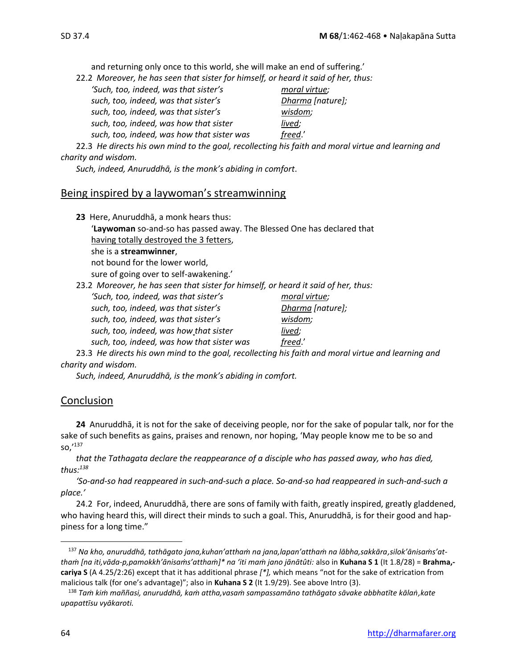and returning only once to this world, she will make an end of suffering.'<br>22.2 Moreover, he has seen that sister for himself or heard it soid of her the

| 22.2 Moreover, he has seen that sister for himself, or heard it said of her, thus: |                  |
|------------------------------------------------------------------------------------|------------------|
| 'Such, too, indeed, was that sister's                                              | moral virtue;    |
| such, too, indeed, was that sister's                                               | Dharma [nature]; |
| such, too, indeed, was that sister's                                               | wisdom;          |
| such, too, indeed, was how that sister                                             | lived;           |
| such, too, indeed, was how that sister was                                         | freed.'          |

22.3 *He directs his own mind to the goal, recollecting his faith and moral virtue and learning and charity and wisdom.*

*Such, indeed, Anuruddhā, is the monk's abiding in comfort*.

## Being inspired by a laywoman's streamwinning

| 23 Here, Anuruddhā, a monk hears thus:                                                             |                  |  |
|----------------------------------------------------------------------------------------------------|------------------|--|
| <b>Laywoman</b> so-and-so has passed away. The Blessed One has declared that                       |                  |  |
| having totally destroyed the 3 fetters,                                                            |                  |  |
| she is a <b>streamwinner</b> ,                                                                     |                  |  |
| not bound for the lower world,                                                                     |                  |  |
| sure of going over to self-awakening.'                                                             |                  |  |
| 23.2 Moreover, he has seen that sister for himself, or heard it said of her, thus:                 |                  |  |
| 'Such, too, indeed, was that sister's                                                              | moral virtue;    |  |
| such, too, indeed, was that sister's                                                               | Dharma [nature]; |  |
| such, too, indeed, was that sister's                                                               | wisdom;          |  |
| such, too, indeed, was how that sister                                                             | lived;           |  |
| such, too, indeed, was how that sister was                                                         | freed.'          |  |
| 23.3 He directs his own mind to the goal, recollecting his faith and moral virtue and learning and |                  |  |

## *charity and wisdom.*

*Such, indeed, Anuruddhā, is the monk's abiding in comfort.*

## Conclusion

**24** Anuruddhā, it is not for the sake of deceiving people, nor for the sake of popular talk, nor for the sake of such benefits as gains, praises and renown, nor hoping, 'May people know me to be so and so,'<sup>137</sup>

that the Tathagata declare the reappearance of a disciple who has passed away, who has died, *thus:<sup>138</sup>*

*'So-and-so had reappeared in such-and-such a place. So-and-so had reappeared in such-and-such a place.'*

24.2 For, indeed, Anuruddhā, there are sons of family with faith, greatly inspired, greatly gladdened, who having heard this, will direct their minds to such a goal. This, Anuruddha, is for their good and happiness for a long time."

<sup>137</sup> *Na kho, anuruddhā, tathāgato jana,kuhan'atthaṁ na jana,lapan'atthaṁ na lābha,sakkāra,silok'ānisaṁs'atthaṁ [na iti,vāda-p,pamokkh'ānisaṁs'atthaṁ]\* na 'iti maṁ jano jānātûti:* also in **Kuhana S 1** (It 1.8/28) = **Brahma, cariya S** (A 4.25/2:26) except that it has additional phrase *[\*],* which means "not for the sake of extrication from malicious talk (for one's advantage)"; also in **Kuhana S 2** (It 1.9/29). See above Intro (3).

<sup>138</sup> *Taṁ kiṁ maññasi, anuruddhā, kaṁ attha,vasaṁ sampassamāno tathāgato sāvake abbhatīte kālaṅ,kate upapattīsu vyākaroti.*